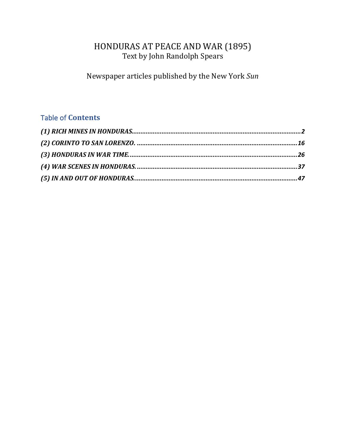# HONDURAS AT PEACE AND WAR (1895) Text by John Randolph Spears

Newspaper articles published by the New York Sun

## **Table of Contents**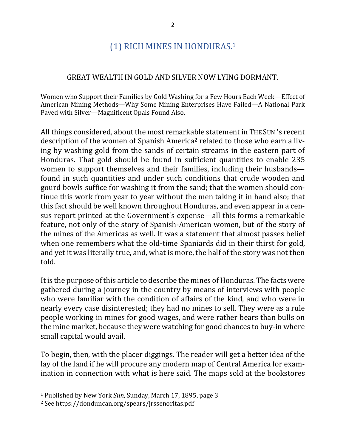# (1) RICH MINES IN HONDURAS.<sup>1</sup>

### GREAT WEALTH IN GOLD AND SILVER NOW LYING DORMANT.

Women who Support their Families by Gold Washing for a Few Hours Each Week—Effect of American Mining Methods—Why Some Mining Enterprises Have Failed—A National Park Paved with Silver-Magnificent Opals Found Also.

All things considered, about the most remarkable statement in THE SUN 's recent description of the women of Spanish America<sup>2</sup> related to those who earn a living by washing gold from the sands of certain streams in the eastern part of Honduras. That gold should be found in sufficient quantities to enable 235 women to support themselves and their families, including their husbands found in such quantities and under such conditions that crude wooden and gourd bowls suffice for washing it from the sand; that the women should continue this work from year to year without the men taking it in hand also; that this fact should be well known throughout Honduras, and even appear in a census report printed at the Government's expense—all this forms a remarkable feature, not only of the story of Spanish-American women, but of the story of the mines of the Americas as well. It was a statement that almost passes belief when one remembers what the old-time Spaniards did in their thirst for gold, and yet it was literally true, and, what is more, the half of the story was not then told.

It is the purpose of this article to describe the mines of Honduras. The facts were gathered during a journey in the country by means of interviews with people who were familiar with the condition of affairs of the kind, and who were in nearly every case disinterested; they had no mines to sell. They were as a rule people working in mines for good wages, and were rather bears than bulls on the mine market, because they were watching for good chances to buy-in where small capital would avail.

To begin, then, with the placer diggings. The reader will get a better idea of the lay of the land if he will procure any modern map of Central America for examination in connection with what is here said. The maps sold at the bookstores

<sup>&</sup>lt;sup>1</sup> Published by New York *Sun*, Sunday, March 17, 1895, page 3

<sup>&</sup>lt;sup>2</sup> See https://donduncan.org/spears/jrssenoritas.pdf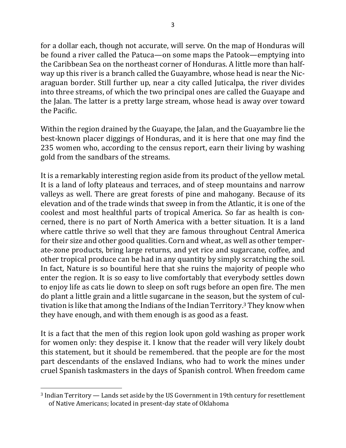for a dollar each, though not accurate, will serve. On the map of Honduras will be found a river called the Patuca—on some maps the Patook—emptying into the Caribbean Sea on the northeast corner of Honduras. A little more than halfway up this river is a branch called the Guayambre, whose head is near the Nicaraguan border. Still further up, near a city called Juticalpa, the river divides into three streams, of which the two principal ones are called the Guayape and the Jalan. The latter is a pretty large stream, whose head is away over toward the Pacific.

Within the region drained by the Guayape, the Jalan, and the Guayambre lie the best-known placer diggings of Honduras, and it is here that one may find the 235 women who, according to the census report, earn their living by washing gold from the sandbars of the streams.

It is a remarkably interesting region aside from its product of the yellow metal. It is a land of lofty plateaus and terraces, and of steep mountains and narrow valleys as well. There are great forests of pine and mahogany. Because of its elevation and of the trade winds that sweep in from the Atlantic, it is one of the coolest and most healthful parts of tropical America. So far as health is concerned, there is no part of North America with a better situation. It is a land where cattle thrive so well that they are famous throughout Central America for their size and other good qualities. Corn and wheat, as well as other temperate-zone products, bring large returns, and yet rice and sugarcane, coffee, and other tropical produce can be had in any quantity by simply scratching the soil. In fact, Nature is so bountiful here that she ruins the majority of people who enter the region. It is so easy to live comfortably that everybody settles down to enjoy life as cats lie down to sleep on soft rugs before an open fire. The men do plant a little grain and a little sugarcane in the season, but the system of cultivation is like that among the Indians of the Indian  $T$ erritory.<sup>3</sup> They know when they have enough, and with them enough is as good as a feast.

It is a fact that the men of this region look upon gold washing as proper work for women only: they despise it. I know that the reader will very likely doubt this statement, but it should be remembered, that the people are for the most part descendants of the enslaved Indians, who had to work the mines under cruel Spanish taskmasters in the days of Spanish control. When freedom came

<sup>&</sup>lt;sup>3</sup> Indian Territory — Lands set aside by the US Government in 19th century for resettlement of Native Americans; located in present-day state of Oklahoma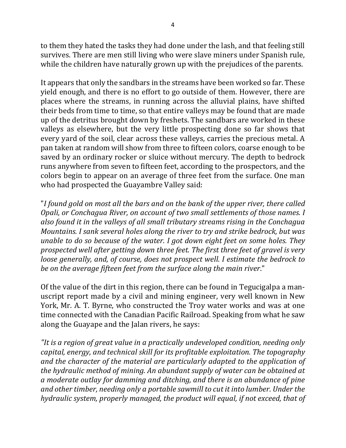to them they hated the tasks they had done under the lash, and that feeling still survives. There are men still living who were slave miners under Spanish rule, while the children have naturally grown up with the prejudices of the parents.

It appears that only the sandbars in the streams have been worked so far. These yield enough, and there is no effort to go outside of them. However, there are places where the streams, in running across the alluvial plains, have shifted their beds from time to time, so that entire valleys may be found that are made up of the detritus brought down by freshets. The sandbars are worked in these valleys as elsewhere, but the very little prospecting done so far shows that every yard of the soil, clear across these valleys, carries the precious metal. A pan taken at random will show from three to fifteen colors, coarse enough to be saved by an ordinary rocker or sluice without mercury. The depth to bedrock runs anywhere from seven to fifteen feet, according to the prospectors, and the colors begin to appear on an average of three feet from the surface. One man who had prospected the Guayambre Valley said:

"I found gold on most all the bars and on the bank of the upper river, there called *Opali, or Conchagua River, on account of two small settlements of those names. I* also found it in the valleys of all small tributary streams rising in the Conchagua *Mountains. I sank several holes along the river to try and strike bedrock, but was unable to do so because of the water. I got down eight feet on some holes. They prospected* well after getting down three feet. The first three feet of gravel is very *loose generally, and, of course, does not prospect well. I estimate the bedrock to be* on the average fifteen feet from the surface along the main river."

Of the value of the dirt in this region, there can be found in Tegucigalpa a manuscript report made by a civil and mining engineer, very well known in New York, Mr. A. T. Byrne, who constructed the Troy water works and was at one time connected with the Canadian Pacific Railroad. Speaking from what he saw along the Guayape and the Jalan rivers, he says:

"It is a region of great value in a practically undeveloped condition, needing only *capital, energy, and technical skill for its profitable exploitation. The topography* and the character of the material are particularly adapted to the application of *the hydraulic method of mining. An abundant supply of water can be obtained at a* moderate outlay for damming and ditching, and there is an abundance of pine and other timber, needing only a portable sawmill to cut it into lumber. Under the *hydraulic system, properly managed, the product will equal, if not exceed, that of*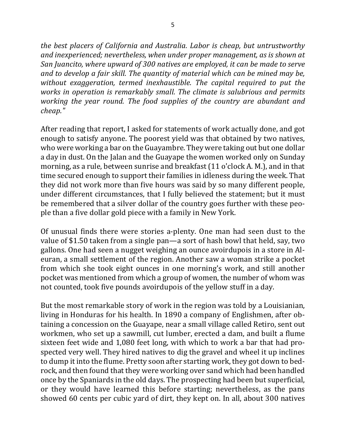*the best placers of California and Australia. Labor is cheap, but untrustworthy* and inexperienced; nevertheless, when under proper management, as is shown at *San Juancito, where upward of 300 natives are employed, it can be made to serve* and to develop a fair skill. The quantity of material which can be mined may be, *without exaggeration, termed inexhaustible. The capital required to put the works* in operation is remarkably small. The climate is salubrious and permits *working the year round. The food supplies of the country are abundant and cheap."*

After reading that report, I asked for statements of work actually done, and got enough to satisfy anyone. The poorest yield was that obtained by two natives, who were working a bar on the Guayambre. They were taking out but one dollar a day in dust. On the Jalan and the Guayape the women worked only on Sunday morning, as a rule, between sunrise and breakfast (11 o'clock A. M.), and in that time secured enough to support their families in idleness during the week. That they did not work more than five hours was said by so many different people, under different circumstances, that I fully believed the statement; but it must be remembered that a silver dollar of the country goes further with these people than a five dollar gold piece with a family in New York.

Of unusual finds there were stories a-plenty. One man had seen dust to the value of \$1.50 taken from a single pan—a sort of hash bowl that held, say, two gallons. One had seen a nugget weighing an ounce avoirdupois in a store in Aleuran, a small settlement of the region. Another saw a woman strike a pocket from which she took eight ounces in one morning's work, and still another pocket was mentioned from which a group of women, the number of whom was not counted, took five pounds avoirdupois of the yellow stuff in a day.

But the most remarkable story of work in the region was told by a Louisianian, living in Honduras for his health. In 1890 a company of Englishmen, after obtaining a concession on the Guayape, near a small village called Retiro, sent out workmen, who set up a sawmill, cut lumber, erected a dam, and built a flume sixteen feet wide and 1,080 feet long, with which to work a bar that had prospected very well. They hired natives to dig the gravel and wheel it up inclines to dump it into the flume. Pretty soon after starting work, they got down to bedrock, and then found that they were working over sand which had been handled once by the Spaniards in the old days. The prospecting had been but superficial, or they would have learned this before starting; nevertheless, as the pans showed 60 cents per cubic yard of dirt, they kept on. In all, about 300 natives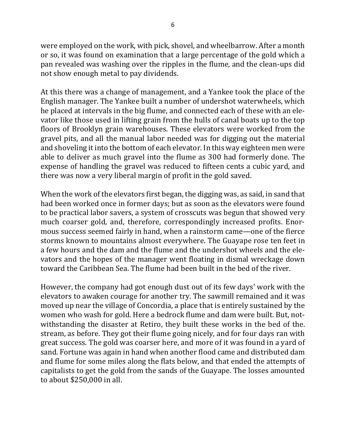were employed on the work, with pick, shovel, and wheelbarrow. After a month or so, it was found on examination that a large percentage of the gold which a pan revealed was washing over the ripples in the flume, and the clean-ups did not show enough metal to pay dividends.

At this there was a change of management, and a Yankee took the place of the English manager. The Yankee built a number of undershot waterwheels, which he placed at intervals in the big flume, and connected each of these with an elevator like those used in lifting grain from the hulls of canal boats up to the top floors of Brooklyn grain warehouses. These elevators were worked from the gravel pits, and all the manual labor needed was for digging out the material and shoveling it into the bottom of each elevator. In this way eighteen men were able to deliver as much gravel into the flume as 300 had formerly done. The expense of handling the gravel was reduced to fifteen cents a cubic yard, and there was now a very liberal margin of profit in the gold saved.

When the work of the elevators first began, the digging was, as said, in sand that had been worked once in former days; but as soon as the elevators were found to be practical labor savers, a system of crosscuts was begun that showed very much coarser gold, and, therefore, correspondingly increased profits. Enormous success seemed fairly in hand, when a rainstorm came—one of the fierce storms known to mountains almost everywhere. The Guayape rose ten feet in a few hours and the dam and the flume and the undershot wheels and the elevators and the hopes of the manager went floating in dismal wreckage down toward the Caribbean Sea. The flume had been built in the bed of the river.

However, the company had got enough dust out of its few days' work with the elevators to awaken courage for another try. The sawmill remained and it was moved up near the village of Concordia, a place that is entirely sustained by the women who wash for gold. Here a bedrock flume and dam were built. But, notwithstanding the disaster at Retiro, they built these works in the bed of the. stream, as before. They got their flume going nicely, and for four days ran with great success. The gold was coarser here, and more of it was found in a yard of sand. Fortune was again in hand when another flood came and distributed dam and flume for some miles along the flats below, and that ended the attempts of capitalists to get the gold from the sands of the Guayape. The losses amounted to about \$250,000 in all.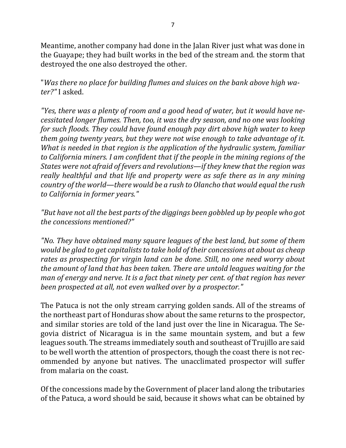Meantime, another company had done in the Jalan River just what was done in the Guayape; they had built works in the bed of the stream and. the storm that destroyed the one also destroyed the other.

"Was there no place for building flumes and sluices on the bank above high wa*ter?"* I asked.

"Yes, there was a plenty of room and a good head of water, but it would have ne*cessitated longer flumes. Then, too, it was the dry season, and no one was looking for such floods. They could have found enough pay dirt above high water to keep them going twenty years, but they were not wise enough to take advantage of it. What is needed in that region is the application of the hydraulic system, familiar to California miners.* I am confident that if the people in the mining regions of the *States* were not afraid of fevers and revolutions—if they knew that the region was *really healthful and that life and property were as safe there as in any mining country of the world—there would be a rush to Olancho that would equal the rush to California in former years."*

"But have not all the best parts of the diggings been gobbled up by people who got *the concessions mentioned?"* 

*"No. They have obtained many square leagues of the best land, but some of them would be glad to get capitalists to take hold of their concessions at about as cheap* rates as prospecting for virgin land can be done. Still, no one need worry about *the amount of land that has been taken. There are untold leagues waiting for the man of energy and nerve. It is a fact that ninety per cent. of that region has never been prospected at all, not even walked over by a prospector."* 

The Patuca is not the only stream carrying golden sands. All of the streams of the northeast part of Honduras show about the same returns to the prospector, and similar stories are told of the land just over the line in Nicaragua. The Segovia district of Nicaragua is in the same mountain system, and but a few leagues south. The streams immediately south and southeast of Trujillo are said to be well worth the attention of prospectors, though the coast there is not recommended by anyone but natives. The unacclimated prospector will suffer from malaria on the coast.

Of the concessions made by the Government of placer land along the tributaries of the Patuca, a word should be said, because it shows what can be obtained by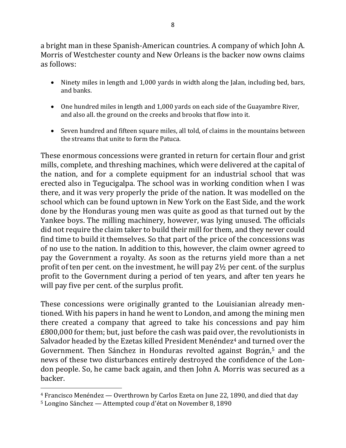a bright man in these Spanish-American countries. A company of which John A. Morris of Westchester county and New Orleans is the backer now owns claims as follows:

- Ninety miles in length and 1,000 yards in width along the Jalan, including bed, bars, and banks.
- One hundred miles in length and 1,000 yards on each side of the Guayambre River, and also all. the ground on the creeks and brooks that flow into it.
- Seven hundred and fifteen square miles, all told, of claims in the mountains between the streams that unite to form the Patuca.

These enormous concessions were granted in return for certain flour and grist mills, complete, and threshing machines, which were delivered at the capital of the nation, and for a complete equipment for an industrial school that was erected also in Tegucigalpa. The school was in working condition when I was there, and it was very properly the pride of the nation. It was modelled on the school which can be found uptown in New York on the East Side, and the work done by the Honduras young men was quite as good as that turned out by the Yankee boys. The milling machinery, however, was lying unused. The officials did not require the claim taker to build their mill for them, and they never could find time to build it themselves. So that part of the price of the concessions was of no use to the nation. In addition to this, however, the claim owner agreed to pay the Government a royalty. As soon as the returns yield more than a net profit of ten per cent. on the investment, he will pay  $2\frac{1}{2}$  per cent. of the surplus profit to the Government during a period of ten years, and after ten years he will pay five per cent. of the surplus profit.

These concessions were originally granted to the Louisianian already mentioned. With his papers in hand he went to London, and among the mining men there created a company that agreed to take his concessions and pay him £800,000 for them; but, just before the cash was paid over, the revolutionists in Salvador headed by the Ezetas killed President Menéndez<sup>4</sup> and turned over the Government. Then Sánchez in Honduras revolted against Bográn,<sup>5</sup> and the news of these two disturbances entirely destroyed the confidence of the London people. So, he came back again, and then John A. Morris was secured as a backer.

 $4$  Francisco Menéndez  $-$  Overthrown by Carlos Ezeta on June 22, 1890, and died that day

 $5$  Longino Sánchez — Attempted coup d'état on November 8, 1890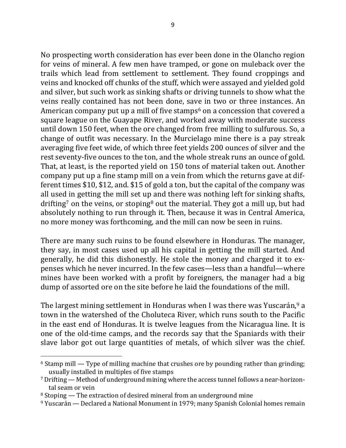No prospecting worth consideration has ever been done in the Olancho region for veins of mineral. A few men have tramped, or gone on muleback over the trails which lead from settlement to settlement. They found croppings and veins and knocked off chunks of the stuff, which were assayed and yielded gold and silver, but such work as sinking shafts or driving tunnels to show what the veins really contained has not been done, save in two or three instances. An American company put up a mill of five stamps<sup>6</sup> on a concession that covered a square league on the Guayape River, and worked away with moderate success until down 150 feet, when the ore changed from free milling to sulfurous. So, a change of outfit was necessary. In the Murcielago mine there is a pay streak averaging five feet wide, of which three feet yields 200 ounces of silver and the rest seventy-five ounces to the ton, and the whole streak runs an ounce of gold. That, at least, is the reported yield on 150 tons of material taken out. Another company put up a fine stamp mill on a vein from which the returns gave at different times  $$10, $12,$  and.  $$15$  of gold a ton, but the capital of the company was all used in getting the mill set up and there was nothing left for sinking shafts, drifting<sup>7</sup> on the veins, or stoping<sup>8</sup> out the material. They got a mill up, but had absolutely nothing to run through it. Then, because it was in Central America, no more money was forthcoming, and the mill can now be seen in ruins.

There are many such ruins to be found elsewhere in Honduras. The manager, they say, in most cases used up all his capital in getting the mill started. And generally, he did this dishonestly. He stole the money and charged it to expenses which he never incurred. In the few cases—less than a handful—where mines have been worked with a profit by foreigners, the manager had a big dump of assorted ore on the site before he laid the foundations of the mill.

The largest mining settlement in Honduras when I was there was Yuscarán,  $9a$ town in the watershed of the Choluteca River, which runs south to the Pacific in the east end of Honduras. It is twelve leagues from the Nicaragua line. It is one of the old-time camps, and the records say that the Spaniards with their slave labor got out large quantities of metals, of which silver was the chief.

 $6$  Stamp mill — Type of milling machine that crushes ore by pounding rather than grinding; usually installed in multiples of five stamps

 $7$  Drifting — Method of underground mining where the access tunnel follows a near-horizontal seam or vein

 $8$  Stoping — The extraction of desired mineral from an underground mine

 $9$  Yuscarán — Declared a National Monument in 1979; many Spanish Colonial homes remain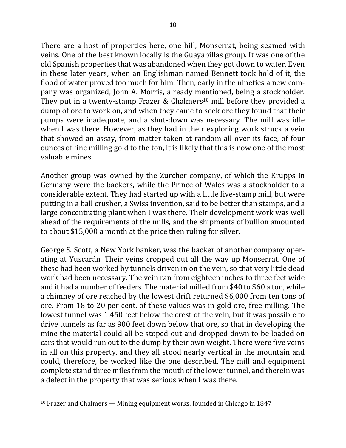There are a host of properties here, one hill, Monserrat, being seamed with veins. One of the best known locally is the Guayabillas group. It was one of the old Spanish properties that was abandoned when they got down to water. Even in these later years, when an Englishman named Bennett took hold of it, the flood of water proved too much for him. Then, early in the nineties a new company was organized, John A. Morris, already mentioned, being a stockholder. They put in a twenty-stamp Frazer & Chalmers<sup>10</sup> mill before they provided a dump of ore to work on, and when they came to seek ore they found that their pumps were inadequate, and a shut-down was necessary. The mill was idle when I was there. However, as they had in their exploring work struck a vein that showed an assay, from matter taken at random all over its face, of four ounces of fine milling gold to the ton, it is likely that this is now one of the most valuable mines.

Another group was owned by the Zurcher company, of which the Krupps in Germany were the backers, while the Prince of Wales was a stockholder to a considerable extent. They had started up with a little five-stamp mill, but were putting in a ball crusher, a Swiss invention, said to be better than stamps, and a large concentrating plant when I was there. Their development work was well ahead of the requirements of the mills, and the shipments of bullion amounted to about \$15,000 a month at the price then ruling for silver.

George S. Scott, a New York banker, was the backer of another company operating at Yuscarán. Their veins cropped out all the way up Monserrat. One of these had been worked by tunnels driven in on the vein, so that very little dead work had been necessary. The vein ran from eighteen inches to three feet wide and it had a number of feeders. The material milled from \$40 to \$60 a ton, while a chimney of ore reached by the lowest drift returned \$6,000 from ten tons of ore. From 18 to 20 per cent. of these values was in gold ore, free milling. The lowest tunnel was 1,450 feet below the crest of the vein, but it was possible to drive tunnels as far as 900 feet down below that ore, so that in developing the mine the material could all be stoped out and dropped down to be loaded on cars that would run out to the dump by their own weight. There were five veins in all on this property, and they all stood nearly vertical in the mountain and could, therefore, be worked like the one described. The mill and equipment complete stand three miles from the mouth of the lower tunnel, and therein was a defect in the property that was serious when I was there.

 $10$  Frazer and Chalmers — Mining equipment works, founded in Chicago in 1847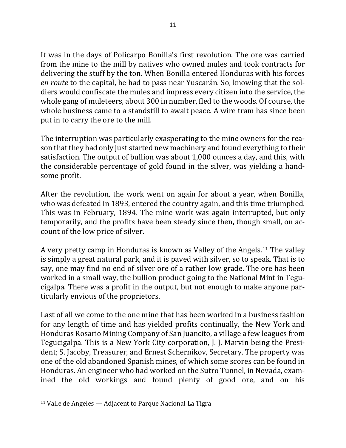It was in the days of Policarpo Bonilla's first revolution. The ore was carried from the mine to the mill by natives who owned mules and took contracts for delivering the stuff by the ton. When Bonilla entered Honduras with his forces *en route* to the capital, he had to pass near Yuscarán. So, knowing that the soldiers would confiscate the mules and impress every citizen into the service, the whole gang of muleteers, about 300 in number, fled to the woods. Of course, the whole business came to a standstill to await peace. A wire tram has since been put in to carry the ore to the mill.

The interruption was particularly exasperating to the mine owners for the reason that they had only just started new machinery and found everything to their satisfaction. The output of bullion was about 1,000 ounces a day, and this, with the considerable percentage of gold found in the silver, was yielding a handsome profit.

After the revolution, the work went on again for about a year, when Bonilla, who was defeated in 1893, entered the country again, and this time triumphed. This was in February, 1894. The mine work was again interrupted, but only temporarily, and the profits have been steady since then, though small, on account of the low price of silver.

A very pretty camp in Honduras is known as Valley of the Angels.<sup>11</sup> The valley is simply a great natural park, and it is paved with silver, so to speak. That is to say, one may find no end of silver ore of a rather low grade. The ore has been worked in a small way, the bullion product going to the National Mint in Tegucigalpa. There was a profit in the output, but not enough to make anyone particularly envious of the proprietors.

Last of all we come to the one mine that has been worked in a business fashion for any length of time and has yielded profits continually, the New York and Honduras Rosario Mining Company of San Juancito, a village a few leagues from Tegucigalpa. This is a New York City corporation, J. J. Marvin being the President; S. Jacoby, Treasurer, and Ernest Schernikov, Secretary. The property was one of the old abandoned Spanish mines, of which some scores can be found in Honduras. An engineer who had worked on the Sutro Tunnel, in Nevada, examined the old workings and found plenty of good ore, and on his

 $11$  Valle de Angeles  $-$  Adjacent to Parque Nacional La Tigra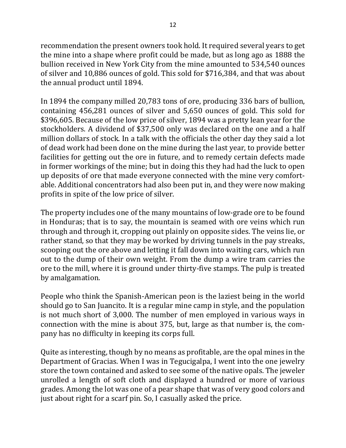recommendation the present owners took hold. It required several years to get the mine into a shape where profit could be made, but as long ago as 1888 the bullion received in New York City from the mine amounted to 534,540 ounces of silver and 10,886 ounces of gold. This sold for \$716,384, and that was about the annual product until 1894.

In 1894 the company milled 20,783 tons of ore, producing 336 bars of bullion, containing 456,281 ounces of silver and 5,650 ounces of gold. This sold for \$396,605. Because of the low price of silver, 1894 was a pretty lean year for the stockholders. A dividend of \$37,500 only was declared on the one and a half million dollars of stock. In a talk with the officials the other day they said a lot of dead work had been done on the mine during the last year, to provide better facilities for getting out the ore in future, and to remedy certain defects made in former workings of the mine; but in doing this they had had the luck to open up deposits of ore that made everyone connected with the mine very comfortable. Additional concentrators had also been put in, and they were now making profits in spite of the low price of silver.

The property includes one of the many mountains of low-grade ore to be found in Honduras; that is to say, the mountain is seamed with ore veins which run through and through it, cropping out plainly on opposite sides. The veins lie, or rather stand, so that they may be worked by driving tunnels in the pay streaks, scooping out the ore above and letting it fall down into waiting cars, which run out to the dump of their own weight. From the dump a wire tram carries the ore to the mill, where it is ground under thirty-five stamps. The pulp is treated by amalgamation.

People who think the Spanish-American peon is the laziest being in the world should go to San Juancito. It is a regular mine camp in style, and the population is not much short of 3,000. The number of men employed in various ways in connection with the mine is about 375, but, large as that number is, the company has no difficulty in keeping its corps full.

Quite as interesting, though by no means as profitable, are the opal mines in the Department of Gracias. When I was in Tegucigalpa, I went into the one jewelry store the town contained and asked to see some of the native opals. The jeweler unrolled a length of soft cloth and displayed a hundred or more of various grades. Among the lot was one of a pear shape that was of very good colors and just about right for a scarf pin. So, I casually asked the price.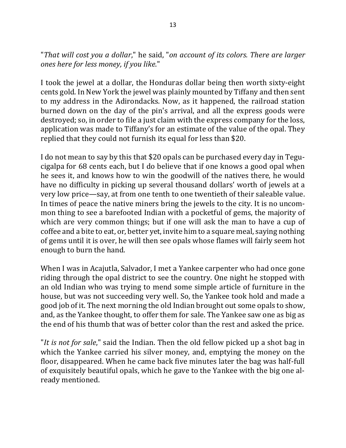"That will cost you a dollar," he said, "on account of its colors. There are larger *ones here for less money, if you like*."

I took the jewel at a dollar, the Honduras dollar being then worth sixty-eight cents gold. In New York the jewel was plainly mounted by Tiffany and then sent to my address in the Adirondacks. Now, as it happened, the railroad station burned down on the day of the pin's arrival, and all the express goods were destroyed; so, in order to file a just claim with the express company for the loss, application was made to Tiffany's for an estimate of the value of the opal. They replied that they could not furnish its equal for less than \$20.

I do not mean to say by this that \$20 opals can be purchased every day in Tegucigalpa for 68 cents each, but I do believe that if one knows a good opal when he sees it, and knows how to win the goodwill of the natives there, he would have no difficulty in picking up several thousand dollars' worth of jewels at a very low price—say, at from one tenth to one twentieth of their saleable value. In times of peace the native miners bring the jewels to the city. It is no uncommon thing to see a barefooted Indian with a pocketful of gems, the majority of which are very common things; but if one will ask the man to have a cup of coffee and a bite to eat, or, better yet, invite him to a square meal, saying nothing of gems until it is over, he will then see opals whose flames will fairly seem hot enough to burn the hand.

When I was in Acajutla, Salvador, I met a Yankee carpenter who had once gone riding through the opal district to see the country. One night he stopped with an old Indian who was trying to mend some simple article of furniture in the house, but was not succeeding very well. So, the Yankee took hold and made a good job of it. The next morning the old Indian brought out some opals to show, and, as the Yankee thought, to offer them for sale. The Yankee saw one as big as the end of his thumb that was of better color than the rest and asked the price.

"*It is not for sale*," said the Indian. Then the old fellow picked up a shot bag in which the Yankee carried his silver money, and, emptying the money on the floor, disappeared. When he came back five minutes later the bag was half-full of exquisitely beautiful opals, which he gave to the Yankee with the big one already mentioned.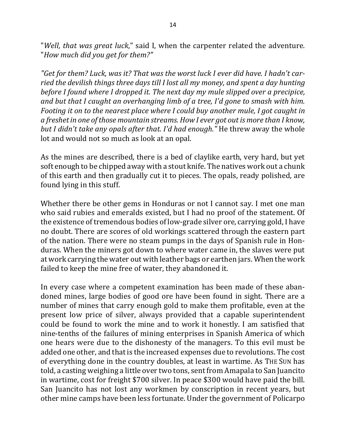"*Well, that was great luck*," said I, when the carpenter related the adventure. "*How much did you get for them?"*

"Get for them? Luck, was it? That was the worst luck I ever did have. I hadn't carried the devilish things three days till I lost all my money, and spent a day hunting *before I found where I dropped it. The next day my mule slipped over a precipice, and but that I caught an overhanging limb of a tree, I'd gone to smash with him. Footing* it on to the nearest place where I could buy another mule, I got caught in *a* freshet in one of those mountain streams. How I ever got out is more than I know, *but I didn't take any opals after that. I'd had enough."* He threw away the whole lot and would not so much as look at an opal.

As the mines are described, there is a bed of claylike earth, very hard, but yet soft enough to be chipped away with a stout knife. The natives work out a chunk of this earth and then gradually cut it to pieces. The opals, ready polished, are found lying in this stuff.

Whether there be other gems in Honduras or not I cannot say. I met one man who said rubies and emeralds existed, but I had no proof of the statement. Of the existence of tremendous bodies of low-grade silver ore, carrying gold, I have no doubt. There are scores of old workings scattered through the eastern part of the nation. There were no steam pumps in the days of Spanish rule in Honduras. When the miners got down to where water came in, the slaves were put at work carrying the water out with leather bags or earthen jars. When the work failed to keep the mine free of water, they abandoned it.

In every case where a competent examination has been made of these abandoned mines, large bodies of good ore have been found in sight. There are a number of mines that carry enough gold to make them profitable, even at the present low price of silver, always provided that a capable superintendent could be found to work the mine and to work it honestly. I am satisfied that nine-tenths of the failures of mining enterprises in Spanish America of which one hears were due to the dishonesty of the managers. To this evil must be added one other, and that is the increased expenses due to revolutions. The cost of everything done in the country doubles, at least in wartime. As THE SUN has told, a casting weighing a little over two tons, sent from Amapala to San Juancito in wartime, cost for freight \$700 silver. In peace \$300 would have paid the bill. San Juancito has not lost any workmen by conscription in recent years, but other mine camps have been less fortunate. Under the government of Policarpo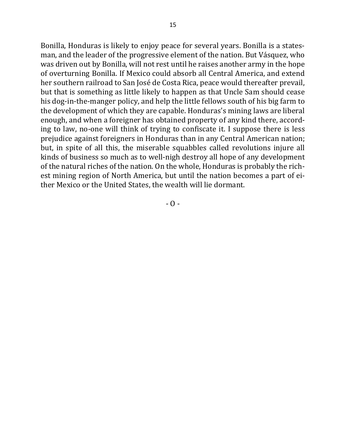Bonilla, Honduras is likely to enjoy peace for several years. Bonilla is a statesman, and the leader of the progressive element of the nation. But Vásquez, who was driven out by Bonilla, will not rest until he raises another army in the hope of overturning Bonilla. If Mexico could absorb all Central America, and extend her southern railroad to San José de Costa Rica, peace would thereafter prevail, but that is something as little likely to happen as that Uncle Sam should cease his dog-in-the-manger policy, and help the little fellows south of his big farm to the development of which they are capable. Honduras's mining laws are liberal enough, and when a foreigner has obtained property of any kind there, according to law, no-one will think of trying to confiscate it. I suppose there is less prejudice against foreigners in Honduras than in any Central American nation; but, in spite of all this, the miserable squabbles called revolutions injure all kinds of business so much as to well-nigh destroy all hope of any development of the natural riches of the nation. On the whole, Honduras is probably the richest mining region of North America, but until the nation becomes a part of either Mexico or the United States, the wealth will lie dormant.

 $-$  O  $-$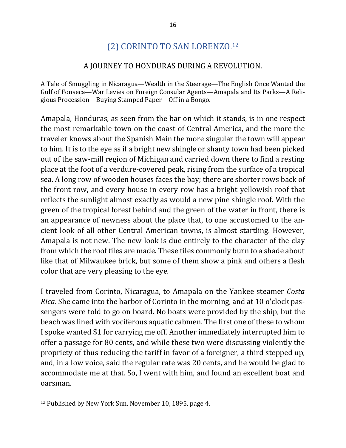# (2) CORINTO TO SAN LORENZO.<sup>12</sup>

## A JOURNEY TO HONDURAS DURING A REVOLUTION.

A Tale of Smuggling in Nicaragua—Wealth in the Steerage—The English Once Wanted the Gulf of Fonseca-War Levies on Foreign Consular Agents-Amapala and Its Parks-A Religious Procession—Buying Stamped Paper—Off in a Bongo.

Amapala, Honduras, as seen from the bar on which it stands, is in one respect the most remarkable town on the coast of Central America, and the more the traveler knows about the Spanish Main the more singular the town will appear to him. It is to the eye as if a bright new shingle or shanty town had been picked out of the saw-mill region of Michigan and carried down there to find a resting place at the foot of a verdure-covered peak, rising from the surface of a tropical sea. A long row of wooden houses faces the bay; there are shorter rows back of the front row, and every house in every row has a bright yellowish roof that reflects the sunlight almost exactly as would a new pine shingle roof. With the green of the tropical forest behind and the green of the water in front, there is an appearance of newness about the place that, to one accustomed to the ancient look of all other Central American towns, is almost startling. However, Amapala is not new. The new look is due entirely to the character of the clay from which the roof tiles are made. These tiles commonly burn to a shade about like that of Milwaukee brick, but some of them show a pink and others a flesh color that are very pleasing to the eye.

I traveled from Corinto, Nicaragua, to Amapala on the Yankee steamer *Costa Rica*. She came into the harbor of Corinto in the morning, and at 10 o'clock passengers were told to go on board. No boats were provided by the ship, but the beach was lined with vociferous aquatic cabmen. The first one of these to whom I spoke wanted \$1 for carrying me off. Another immediately interrupted him to offer a passage for 80 cents, and while these two were discussing violently the propriety of thus reducing the tariff in favor of a foreigner, a third stepped up, and, in a low voice, said the regular rate was 20 cents, and he would be glad to accommodate me at that. So, I went with him, and found an excellent boat and oarsman. 

<sup>&</sup>lt;sup>12</sup> Published by New York Sun, November 10, 1895, page 4.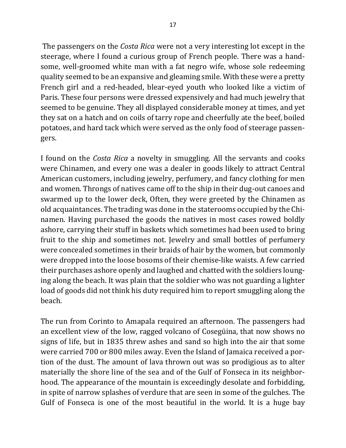The passengers on the *Costa Rica* were not a very interesting lot except in the steerage, where I found a curious group of French people. There was a handsome, well-groomed white man with a fat negro wife, whose sole redeeming quality seemed to be an expansive and gleaming smile. With these were a pretty French girl and a red-headed, blear-eyed youth who looked like a victim of Paris. These four persons were dressed expensively and had much jewelry that seemed to be genuine. They all displayed considerable money at times, and yet they sat on a hatch and on coils of tarry rope and cheerfully ate the beef, boiled potatoes, and hard tack which were served as the only food of steerage passengers.

I found on the *Costa Rica* a novelty in smuggling. All the servants and cooks were Chinamen, and every one was a dealer in goods likely to attract Central American customers, including jewelry, perfumery, and fancy clothing for men and women. Throngs of natives came off to the ship in their dug-out canoes and swarmed up to the lower deck, Often, they were greeted by the Chinamen as old acquaintances. The trading was done in the staterooms occupied by the Chinamen. Having purchased the goods the natives in most cases rowed boldly ashore, carrying their stuff in baskets which sometimes had been used to bring fruit to the ship and sometimes not. Jewelry and small bottles of perfumery were concealed sometimes in their braids of hair by the women, but commonly were dropped into the loose bosoms of their chemise-like waists. A few carried their purchases ashore openly and laughed and chatted with the soldiers lounging along the beach. It was plain that the soldier who was not guarding a lighter load of goods did not think his duty required him to report smuggling along the beach.

The run from Corinto to Amapala required an afternoon. The passengers had an excellent view of the low, ragged volcano of Cosegüina, that now shows no signs of life, but in 1835 threw ashes and sand so high into the air that some were carried 700 or 800 miles away. Even the Island of Jamaica received a portion of the dust. The amount of lava thrown out was so prodigious as to alter materially the shore line of the sea and of the Gulf of Fonseca in its neighborhood. The appearance of the mountain is exceedingly desolate and forbidding, in spite of narrow splashes of verdure that are seen in some of the gulches. The Gulf of Fonseca is one of the most beautiful in the world. It is a huge bay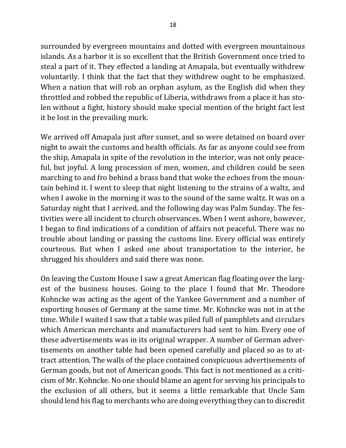surrounded by evergreen mountains and dotted with evergreen mountainous islands. As a harbor it is so excellent that the British Government once tried to steal a part of it. They effected a landing at Amapala, but eventually withdrew voluntarily. I think that the fact that they withdrew ought to be emphasized. When a nation that will rob an orphan asylum, as the English did when they throttled and robbed the republic of Liberia, withdraws from a place it has stolen without a fight, history should make special mention of the bright fact lest it be lost in the prevailing murk.

We arrived off Amapala just after sunset, and so were detained on board over night to await the customs and health officials. As far as anyone could see from the ship, Amapala in spite of the revolution in the interior, was not only peaceful, but joyful. A long procession of men, women, and children could be seen marching to and fro behind a brass band that woke the echoes from the mountain behind it. I went to sleep that night listening to the strains of a waltz, and when I awoke in the morning it was to the sound of the same waltz. It was on a Saturday night that I arrived, and the following day was Palm Sunday. The festivities were all incident to church observances. When I went ashore, however, I began to find indications of a condition of affairs not peaceful. There was no trouble about landing or passing the customs line. Every official was entirely courteous. But when I asked one about transportation to the interior, he shrugged his shoulders and said there was none.

On leaving the Custom House I saw a great American flag floating over the largest of the business houses. Going to the place I found that Mr. Theodore Kohncke was acting as the agent of the Yankee Government and a number of exporting houses of Germany at the same time. Mr. Kohncke was not in at the time. While I waited I saw that a table was piled full of pamphlets and circulars which American merchants and manufacturers had sent to him. Every one of these advertisements was in its original wrapper. A number of German advertisements on another table had been opened carefully and placed so as to attract attention. The walls of the place contained conspicuous advertisements of German goods, but not of American goods. This fact is not mentioned as a criticism of Mr. Kohncke. No one should blame an agent for serving his principals to the exclusion of all others, but it seems a little remarkable that Uncle Sam should lend his flag to merchants who are doing everything they can to discredit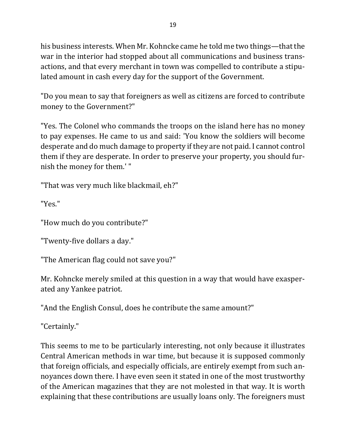his business interests. When Mr. Kohncke came he told me two things—that the war in the interior had stopped about all communications and business transactions, and that every merchant in town was compelled to contribute a stipulated amount in cash every day for the support of the Government.

"Do you mean to say that foreigners as well as citizens are forced to contribute money to the Government?"

"Yes. The Colonel who commands the troops on the island here has no money to pay expenses. He came to us and said: 'You know the soldiers will become desperate and do much damage to property if they are not paid. I cannot control them if they are desperate. In order to preserve your property, you should furnish the money for them.'"

"That was very much like blackmail, eh?"

"Yes."

"How much do you contribute?"

"Twenty-five dollars a day."

"The American flag could not save you?"

Mr. Kohncke merely smiled at this question in a way that would have exasperated any Yankee patriot.

"And the English Consul, does he contribute the same amount?"

"Certainly."

This seems to me to be particularly interesting, not only because it illustrates Central American methods in war time, but because it is supposed commonly that foreign officials, and especially officials, are entirely exempt from such annoyances down there. I have even seen it stated in one of the most trustworthy of the American magazines that they are not molested in that way. It is worth explaining that these contributions are usually loans only. The foreigners must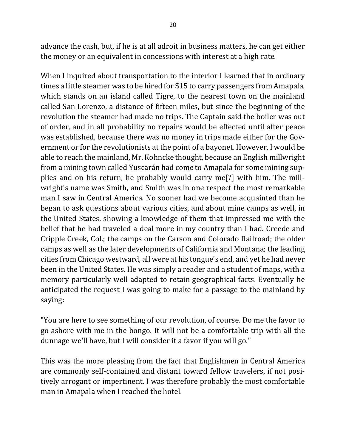advance the cash, but, if he is at all adroit in business matters, he can get either the money or an equivalent in concessions with interest at a high rate.

When I inquired about transportation to the interior I learned that in ordinary times a little steamer was to be hired for \$15 to carry passengers from Amapala, which stands on an island called Tigre, to the nearest town on the mainland called San Lorenzo, a distance of fifteen miles, but since the beginning of the revolution the steamer had made no trips. The Captain said the boiler was out of order, and in all probability no repairs would be effected until after peace was established, because there was no money in trips made either for the Government or for the revolutionists at the point of a bayonet. However, I would be able to reach the mainland, Mr. Kohncke thought, because an English millwright from a mining town called Yuscarán had come to Amapala for some mining supplies and on his return, he probably would carry me<sup>[?]</sup> with him. The millwright's name was Smith, and Smith was in one respect the most remarkable man I saw in Central America. No sooner had we become acquainted than he began to ask questions about various cities, and about mine camps as well, in the United States, showing a knowledge of them that impressed me with the belief that he had traveled a deal more in my country than I had. Creede and Cripple Creek, Col.; the camps on the Carson and Colorado Railroad; the older camps as well as the later developments of California and Montana; the leading cities from Chicago westward, all were at his tongue's end, and yet he had never been in the United States. He was simply a reader and a student of maps, with a memory particularly well adapted to retain geographical facts. Eventually he anticipated the request I was going to make for a passage to the mainland by saying:

"You are here to see something of our revolution, of course. Do me the favor to go ashore with me in the bongo. It will not be a comfortable trip with all the dunnage we'll have, but I will consider it a favor if you will go."

This was the more pleasing from the fact that Englishmen in Central America are commonly self-contained and distant toward fellow travelers, if not positively arrogant or impertinent. I was therefore probably the most comfortable man in Amapala when I reached the hotel.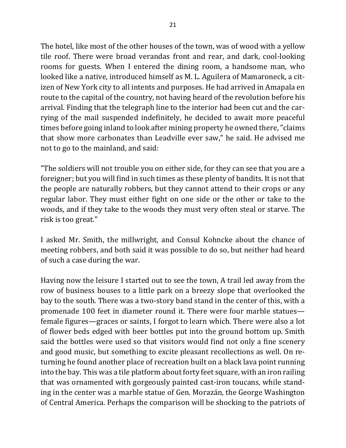The hotel, like most of the other houses of the town, was of wood with a yellow tile roof. There were broad verandas front and rear, and dark, cool-looking rooms for guests. When I entered the dining room, a handsome man, who looked like a native, introduced himself as M. L. Aguilera of Mamaroneck, a citizen of New York city to all intents and purposes. He had arrived in Amapala en route to the capital of the country, not having heard of the revolution before his arrival. Finding that the telegraph line to the interior had been cut and the carrying of the mail suspended indefinitely, he decided to await more peaceful times before going inland to look after mining property he owned there, "claims" that show more carbonates than Leadville ever saw," he said. He advised me not to go to the mainland, and said:

"The soldiers will not trouble you on either side, for they can see that you are a foreigner; but you will find in such times as these plenty of bandits. It is not that the people are naturally robbers, but they cannot attend to their crops or any regular labor. They must either fight on one side or the other or take to the woods, and if they take to the woods they must very often steal or starve. The risk is too great."

I asked Mr. Smith, the millwright, and Consul Kohncke about the chance of meeting robbers, and both said it was possible to do so, but neither had heard of such a case during the war.

Having now the leisure I started out to see the town, A trail led away from the row of business houses to a little park on a breezy slope that overlooked the bay to the south. There was a two-story band stand in the center of this, with a promenade 100 feet in diameter round it. There were four marble statues female figures—graces or saints, I forgot to learn which. There were also a lot of flower beds edged with beer bottles put into the ground bottom up. Smith said the bottles were used so that visitors would find not only a fine scenery and good music, but something to excite pleasant recollections as well. On returning he found another place of recreation built on a black lava point running into the bay. This was a tile platform about forty feet square, with an iron railing that was ornamented with gorgeously painted cast-iron toucans, while standing in the center was a marble statue of Gen. Morazán, the George Washington of Central America. Perhaps the comparison will be shocking to the patriots of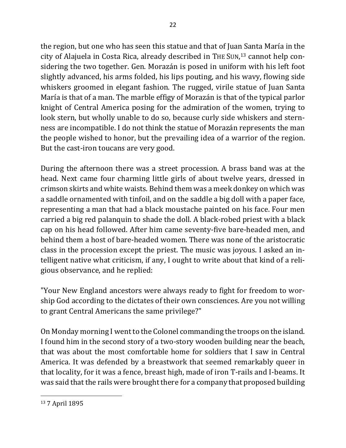the region, but one who has seen this statue and that of Juan Santa María in the city of Alajuela in Costa Rica, already described in THE SUN,<sup>13</sup> cannot help considering the two together. Gen. Morazán is posed in uniform with his left foot slightly advanced, his arms folded, his lips pouting, and his wavy, flowing side whiskers groomed in elegant fashion. The rugged, virile statue of Juan Santa María is that of a man. The marble effigy of Morazán is that of the typical parlor knight of Central America posing for the admiration of the women, trying to look stern, but wholly unable to do so, because curly side whiskers and sternness are incompatible. I do not think the statue of Morazán represents the man the people wished to honor, but the prevailing idea of a warrior of the region. But the cast-iron toucans are very good.

During the afternoon there was a street procession. A brass band was at the head. Next came four charming little girls of about twelve years, dressed in crimson skirts and white waists. Behind them was a meek donkey on which was a saddle ornamented with tinfoil, and on the saddle a big doll with a paper face, representing a man that had a black moustache painted on his face. Four men carried a big red palanquin to shade the doll. A black-robed priest with a black cap on his head followed. After him came seventy-five bare-headed men, and behind them a host of bare-headed women. There was none of the aristocratic class in the procession except the priest. The music was joyous. I asked an intelligent native what criticism, if any, I ought to write about that kind of a religious observance, and he replied:

"Your New England ancestors were always ready to fight for freedom to worship God according to the dictates of their own consciences. Are you not willing to grant Central Americans the same privilege?"

On Monday morning I went to the Colonel commanding the troops on the island. I found him in the second story of a two-story wooden building near the beach, that was about the most comfortable home for soldiers that I saw in Central America. It was defended by a breastwork that seemed remarkably queer in that locality, for it was a fence, breast high, made of iron T-rails and I-beams. It was said that the rails were brought there for a company that proposed building

<sup>&</sup>lt;sup>13</sup> 7 April 1895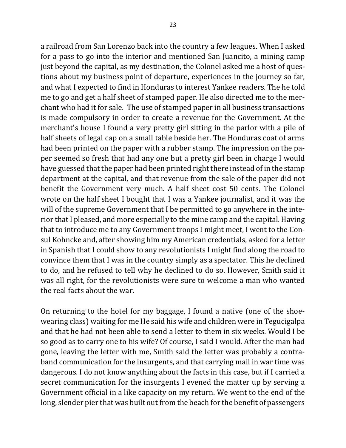a railroad from San Lorenzo back into the country a few leagues. When I asked for a pass to go into the interior and mentioned San Juancito, a mining camp just beyond the capital, as my destination, the Colonel asked me a host of questions about my business point of departure, experiences in the journey so far, and what I expected to find in Honduras to interest Yankee readers. The he told me to go and get a half sheet of stamped paper. He also directed me to the merchant who had it for sale. The use of stamped paper in all business transactions is made compulsory in order to create a revenue for the Government. At the merchant's house I found a very pretty girl sitting in the parlor with a pile of half sheets of legal cap on a small table beside her. The Honduras coat of arms had been printed on the paper with a rubber stamp. The impression on the paper seemed so fresh that had any one but a pretty girl been in charge I would have guessed that the paper had been printed right there instead of in the stamp department at the capital, and that revenue from the sale of the paper did not benefit the Government very much. A half sheet cost 50 cents. The Colonel wrote on the half sheet I bought that I was a Yankee journalist, and it was the will of the supreme Government that I be permitted to go anywhere in the interior that I pleased, and more especially to the mine camp and the capital. Having that to introduce me to any Government troops I might meet, I went to the Consul Kohncke and, after showing him my American credentials, asked for a letter in Spanish that I could show to any revolutionists I might find along the road to convince them that I was in the country simply as a spectator. This he declined to do, and he refused to tell why he declined to do so. However, Smith said it was all right, for the revolutionists were sure to welcome a man who wanted the real facts about the war.

On returning to the hotel for my baggage, I found a native (one of the shoewearing class) waiting for me He said his wife and children were in Tegucigalpa and that he had not been able to send a letter to them in six weeks. Would I be so good as to carry one to his wife? Of course, I said I would. After the man had gone, leaving the letter with me, Smith said the letter was probably a contraband communication for the insurgents, and that carrying mail in war time was dangerous. I do not know anything about the facts in this case, but if I carried a secret communication for the insurgents I evened the matter up by serving a Government official in a like capacity on my return. We went to the end of the long, slender pier that was built out from the beach for the benefit of passengers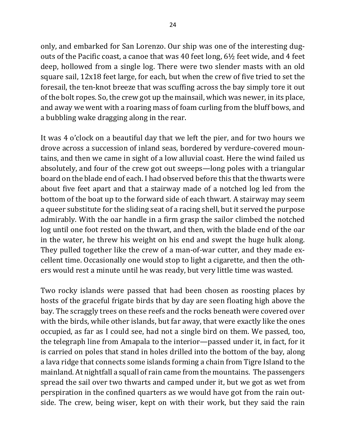only, and embarked for San Lorenzo. Our ship was one of the interesting dugouts of the Pacific coast, a canoe that was 40 feet long,  $6\frac{1}{2}$  feet wide, and 4 feet deep, hollowed from a single log. There were two slender masts with an old square sail, 12x18 feet large, for each, but when the crew of five tried to set the foresail, the ten-knot breeze that was scuffing across the bay simply tore it out of the bolt ropes. So, the crew got up the mainsail, which was newer, in its place, and away we went with a roaring mass of foam curling from the bluff bows, and a bubbling wake dragging along in the rear.

It was 4 o'clock on a beautiful day that we left the pier, and for two hours we drove across a succession of inland seas, bordered by verdure-covered mountains, and then we came in sight of a low alluvial coast. Here the wind failed us absolutely, and four of the crew got out sweeps—long poles with a triangular board on the blade end of each. I had observed before this that the thwarts were about five feet apart and that a stairway made of a notched log led from the bottom of the boat up to the forward side of each thwart. A stairway may seem a queer substitute for the sliding seat of a racing shell, but it served the purpose admirably. With the oar handle in a firm grasp the sailor climbed the notched log until one foot rested on the thwart, and then, with the blade end of the oar in the water, he threw his weight on his end and swept the huge hulk along. They pulled together like the crew of a man-of-war cutter, and they made excellent time. Occasionally one would stop to light a cigarette, and then the others would rest a minute until he was ready, but very little time was wasted.

Two rocky islands were passed that had been chosen as roosting places by hosts of the graceful frigate birds that by day are seen floating high above the bay. The scraggly trees on these reefs and the rocks beneath were covered over with the birds, while other islands, but far away, that were exactly like the ones occupied, as far as I could see, had not a single bird on them. We passed, too, the telegraph line from Amapala to the interior—passed under it, in fact, for it is carried on poles that stand in holes drilled into the bottom of the bay, along a lava ridge that connects some islands forming a chain from Tigre Island to the mainland. At nightfall a squall of rain came from the mountains. The passengers spread the sail over two thwarts and camped under it, but we got as wet from perspiration in the confined quarters as we would have got from the rain outside. The crew, being wiser, kept on with their work, but they said the rain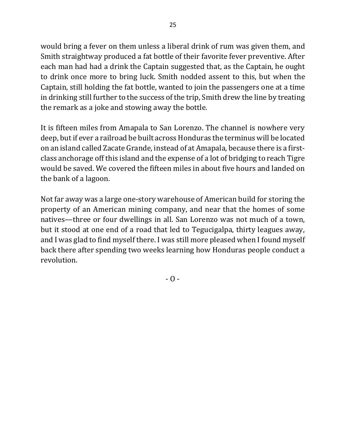would bring a fever on them unless a liberal drink of rum was given them, and Smith straightway produced a fat bottle of their favorite fever preventive. After each man had had a drink the Captain suggested that, as the Captain, he ought to drink once more to bring luck. Smith nodded assent to this, but when the Captain, still holding the fat bottle, wanted to join the passengers one at a time in drinking still further to the success of the trip, Smith drew the line by treating the remark as a joke and stowing away the bottle.

It is fifteen miles from Amapala to San Lorenzo. The channel is nowhere very deep, but if ever a railroad be built across Honduras the terminus will be located on an island called Zacate Grande, instead of at Amapala, because there is a firstclass anchorage off this island and the expense of a lot of bridging to reach Tigre would be saved. We covered the fifteen miles in about five hours and landed on the bank of a lagoon.

Not far away was a large one-story warehouse of American build for storing the property of an American mining company, and near that the homes of some natives—three or four dwellings in all. San Lorenzo was not much of a town, but it stood at one end of a road that led to Tegucigalpa, thirty leagues away, and I was glad to find myself there. I was still more pleased when I found myself back there after spending two weeks learning how Honduras people conduct a revolution.

 $- 0 -$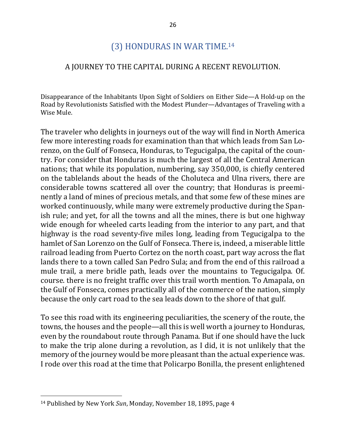# (3) HONDURAS IN WAR TIME.<sup>14</sup>

### A JOURNEY TO THE CAPITAL DURING A RECENT REVOLUTION.

Disappearance of the Inhabitants Upon Sight of Soldiers on Either Side—A Hold-up on the Road by Revolutionists Satisfied with the Modest Plunder—Advantages of Traveling with a Wise Mule.

The traveler who delights in journeys out of the way will find in North America few more interesting roads for examination than that which leads from San Lorenzo, on the Gulf of Fonseca, Honduras, to Tegucigalpa, the capital of the country. For consider that Honduras is much the largest of all the Central American nations; that while its population, numbering, say 350,000, is chiefly centered on the tablelands about the heads of the Choluteca and Ulna rivers, there are considerable towns scattered all over the country; that Honduras is preeminently a land of mines of precious metals, and that some few of these mines are worked continuously, while many were extremely productive during the Spanish rule; and yet, for all the towns and all the mines, there is but one highway wide enough for wheeled carts leading from the interior to any part, and that highway is the road seventy-five miles long, leading from Tegucigalpa to the hamlet of San Lorenzo on the Gulf of Fonseca. There is, indeed, a miserable little railroad leading from Puerto Cortez on the north coast, part way across the flat lands there to a town called San Pedro Sula; and from the end of this railroad a mule trail, a mere bridle path, leads over the mountains to Tegucigalpa. Of. course, there is no freight traffic over this trail worth mention. To Amapala, on the Gulf of Fonseca, comes practically all of the commerce of the nation, simply because the only cart road to the sea leads down to the shore of that gulf.

To see this road with its engineering peculiarities, the scenery of the route, the towns, the houses and the people—all this is well worth a journey to Honduras, even by the roundabout route through Panama. But if one should have the luck to make the trip alone during a revolution, as I did, it is not unlikely that the memory of the journey would be more pleasant than the actual experience was. I rode over this road at the time that Policarpo Bonilla, the present enlightened

<sup>&</sup>lt;sup>14</sup> Published by New York *Sun*, Monday, November 18, 1895, page 4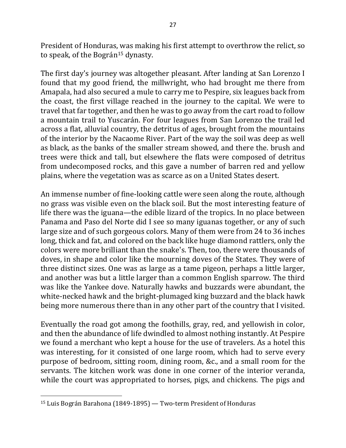President of Honduras, was making his first attempt to overthrow the relict, so to speak, of the Bográn<sup>15</sup> dynasty.

The first day's journey was altogether pleasant. After landing at San Lorenzo I found that my good friend, the millwright, who had brought me there from Amapala, had also secured a mule to carry me to Pespire, six leagues back from the coast, the first village reached in the journey to the capital. We were to travel that far together, and then he was to go away from the cart road to follow a mountain trail to Yuscarán. For four leagues from San Lorenzo the trail led across a flat, alluvial country, the detritus of ages, brought from the mountains of the interior by the Nacaome River. Part of the way the soil was deep as well as black, as the banks of the smaller stream showed, and there the. brush and trees were thick and tall, but elsewhere the flats were composed of detritus from undecomposed rocks, and this gave a number of barren red and yellow plains, where the vegetation was as scarce as on a United States desert.

An immense number of fine-looking cattle were seen along the route, although no grass was visible even on the black soil. But the most interesting feature of life there was the iguana—the edible lizard of the tropics. In no place between Panama and Paso del Norte did I see so many iguanas together, or any of such large size and of such gorgeous colors. Many of them were from 24 to 36 inches long, thick and fat, and colored on the back like huge diamond rattlers, only the colors were more brilliant than the snake's. Then, too, there were thousands of doves, in shape and color like the mourning doves of the States. They were of three distinct sizes. One was as large as a tame pigeon, perhaps a little larger, and another was but a little larger than a common English sparrow. The third was like the Yankee dove. Naturally hawks and buzzards were abundant, the white-necked hawk and the bright-plumaged king buzzard and the black hawk being more numerous there than in any other part of the country that I visited.

Eventually the road got among the foothills, gray, red, and yellowish in color, and then the abundance of life dwindled to almost nothing instantly. At Pespire we found a merchant who kept a house for the use of travelers. As a hotel this was interesting, for it consisted of one large room, which had to serve every purpose of bedroom, sitting room, dining room, &c., and a small room for the servants. The kitchen work was done in one corner of the interior veranda, while the court was appropriated to horses, pigs, and chickens. The pigs and

 $15$  Luis Bográn Barahona (1849-1895) — Two-term President of Honduras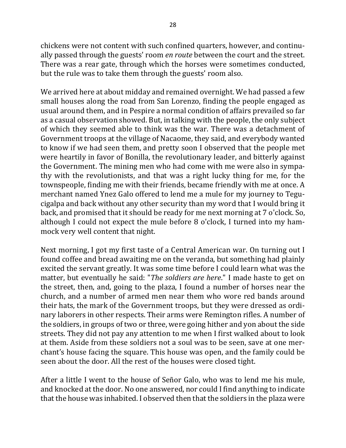chickens were not content with such confined quarters, however, and continually passed through the guests' room *en route* between the court and the street. There was a rear gate, through which the horses were sometimes conducted, but the rule was to take them through the guests' room also.

We arrived here at about midday and remained overnight. We had passed a few small houses along the road from San Lorenzo, finding the people engaged as usual around them, and in Pespire a normal condition of affairs prevailed so far as a casual observation showed. But, in talking with the people, the only subject of which they seemed able to think was the war. There was a detachment of Government troops at the village of Nacaome, they said, and everybody wanted to know if we had seen them, and pretty soon I observed that the people met were heartily in favor of Bonilla, the revolutionary leader, and bitterly against the Government. The mining men who had come with me were also in sympathy with the revolutionists, and that was a right lucky thing for me, for the townspeople, finding me with their friends, became friendly with me at once. A merchant named Ynez Galo offered to lend me a mule for my journey to Tegucigalpa and back without any other security than my word that I would bring it back, and promised that it should be ready for me next morning at 7 o'clock. So, although I could not expect the mule before  $8$  o'clock, I turned into my hammock very well content that night.

Next morning, I got my first taste of a Central American war. On turning out I found coffee and bread awaiting me on the veranda, but something had plainly excited the servant greatly. It was some time before I could learn what was the matter, but eventually he said: "*The soldiers are here*." I made haste to get on the street, then, and, going to the plaza, I found a number of horses near the church, and a number of armed men near them who wore red bands around their hats, the mark of the Government troops, but they were dressed as ordinary laborers in other respects. Their arms were Remington rifles. A number of the soldiers, in groups of two or three, were going hither and yon about the side streets. They did not pay any attention to me when I first walked about to look at them. Aside from these soldiers not a soul was to be seen, save at one merchant's house facing the square. This house was open, and the family could be seen about the door. All the rest of the houses were closed tight.

After a little I went to the house of Señor Galo, who was to lend me his mule, and knocked at the door. No one answered, nor could I find anything to indicate that the house was inhabited. I observed then that the soldiers in the plaza were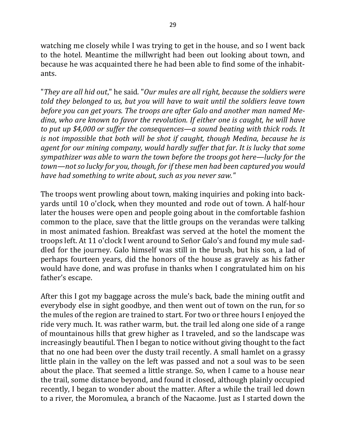watching me closely while I was trying to get in the house, and so I went back to the hotel. Meantime the millwright had been out looking about town, and because he was acquainted there he had been able to find some of the inhabitants.

"They are all hid out," he said. "Our mules are all right, because the soldiers were *told they belonged to us, but you will have to wait until the soldiers leave town* before you can get yours. The troops are after Galo and another man named Me*dina, who are known to favor the revolution. If either one is caught, he will have to put up* \$4,000 or suffer the consequences—a sound beating with thick rods. It *is* not impossible that both will be shot if caught, though Medina, because he is *agent for our mining company, would hardly suffer that far. It is lucky that some sympathizer* was able to warn the town before the troops got here—lucky for the *town—not so lucky for you, though, for if these men had been captured you would* have had something to write about, such as you never saw."

The troops went prowling about town, making inquiries and poking into backyards until 10 o'clock, when they mounted and rode out of town. A half-hour later the houses were open and people going about in the comfortable fashion common to the place, save that the little groups on the verandas were talking in most animated fashion. Breakfast was served at the hotel the moment the troops left. At 11 o'clock I went around to Señor Galo's and found my mule saddled for the journey. Galo himself was still in the brush, but his son, a lad of perhaps fourteen years, did the honors of the house as gravely as his father would have done, and was profuse in thanks when I congratulated him on his father's escape.

After this I got my baggage across the mule's back, bade the mining outfit and everybody else in sight goodbye, and then went out of town on the run, for so the mules of the region are trained to start. For two or three hours I enjoyed the ride very much. It. was rather warm, but. the trail led along one side of a range of mountainous hills that grew higher as I traveled, and so the landscape was increasingly beautiful. Then I began to notice without giving thought to the fact that no one had been over the dusty trail recently. A small hamlet on a grassy little plain in the valley on the left was passed and not a soul was to be seen about the place. That seemed a little strange. So, when I came to a house near the trail, some distance beyond, and found it closed, although plainly occupied recently, I began to wonder about the matter. After a while the trail led down to a river, the Moromulea, a branch of the Nacaome. Just as I started down the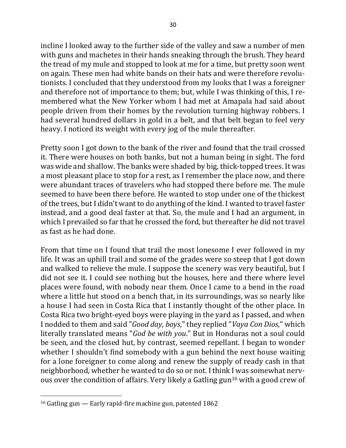incline I looked away to the further side of the valley and saw a number of men with guns and machetes in their hands sneaking through the brush. They heard the tread of my mule and stopped to look at me for a time, but pretty soon went on again. These men had white bands on their hats and were therefore revolutionists. I concluded that they understood from my looks that I was a foreigner and therefore not of importance to them; but, while I was thinking of this, I remembered what the New Yorker whom I had met at Amapala had said about people driven from their homes by the revolution turning highway robbers. I had several hundred dollars in gold in a belt, and that belt began to feel very heavy. I noticed its weight with every jog of the mule thereafter.

Pretty soon I got down to the bank of the river and found that the trail crossed it. There were houses on both banks, but not a human being in sight. The ford was wide and shallow. The banks were shaded by big, thick-topped trees. It was a most pleasant place to stop for a rest, as I remember the place now, and there were abundant traces of travelers who had stopped there before me. The mule seemed to have been there before. He wanted to stop under one of the thickest of the trees, but I didn't want to do anything of the kind. I wanted to travel faster instead, and a good deal faster at that. So, the mule and I had an argument, in which I prevailed so far that he crossed the ford, but thereafter he did not travel as fast as he had done.

From that time on I found that trail the most lonesome I ever followed in my life. It was an uphill trail and some of the grades were so steep that I got down and walked to relieve the mule. I suppose the scenery was very beautiful, but I did not see it. I could see nothing but the houses, here and there where level places were found, with nobody near them. Once I came to a bend in the road where a little hut stood on a bench that, in its surroundings, was so nearly like a house I had seen in Costa Rica that I instantly thought of the other place. In Costa Rica two bright-eyed boys were playing in the yard as I passed, and when I nodded to them and said "*Good day, boys*," they replied "*Vaya Con Dios*," which literally translated means "*God be with you*." But in Honduras not a soul could be seen, and the closed hut, by contrast, seemed repellant. I began to wonder whether I shouldn't find somebody with a gun behind the next house waiting for a lone foreigner to come along and renew the supply of ready cash in that neighborhood, whether he wanted to do so or not. I think I was somewhat nervous over the condition of affairs. Very likely a Gatling gun<sup>16</sup> with a good crew of

 $16$  Gatling gun  $-$  Early rapid-fire machine gun, patented 1862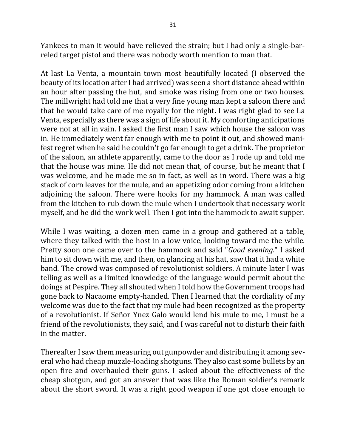Yankees to man it would have relieved the strain; but I had only a single-barreled target pistol and there was nobody worth mention to man that.

At last La Venta, a mountain town most beautifully located (I observed the beauty of its location after I had arrived) was seen a short distance ahead within an hour after passing the hut, and smoke was rising from one or two houses. The millwright had told me that a very fine young man kept a saloon there and that he would take care of me royally for the night. I was right glad to see La Venta, especially as there was a sign of life about it. My comforting anticipations were not at all in vain. I asked the first man I saw which house the saloon was in. He immediately went far enough with me to point it out, and showed manifest regret when he said he couldn't go far enough to get a drink. The proprietor of the saloon, an athlete apparently, came to the door as I rode up and told me that the house was mine. He did not mean that, of course, but he meant that I was welcome, and he made me so in fact, as well as in word. There was a big stack of corn leaves for the mule, and an appetizing odor coming from a kitchen adjoining the saloon. There were hooks for my hammock. A man was called from the kitchen to rub down the mule when I undertook that necessary work myself, and he did the work well. Then I got into the hammock to await supper.

While I was waiting, a dozen men came in a group and gathered at a table, where they talked with the host in a low voice, looking toward me the while. Pretty soon one came over to the hammock and said "*Good evening*." I asked him to sit down with me, and then, on glancing at his hat, saw that it had a white band. The crowd was composed of revolutionist soldiers. A minute later I was telling as well as a limited knowledge of the language would permit about the doings at Pespire. They all shouted when I told how the Government troops had gone back to Nacaome empty-handed. Then I learned that the cordiality of my welcome was due to the fact that my mule had been recognized as the property of a revolutionist. If Señor Ynez Galo would lend his mule to me, I must be a friend of the revolutionists, they said, and I was careful not to disturb their faith in the matter.

Thereafter I saw them measuring out gunpowder and distributing it among several who had cheap muzzle-loading shotguns. They also cast some bullets by an open fire and overhauled their guns. I asked about the effectiveness of the cheap shotgun, and got an answer that was like the Roman soldier's remark about the short sword. It was a right good weapon if one got close enough to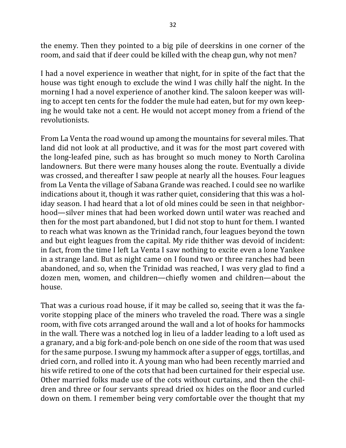the enemy. Then they pointed to a big pile of deerskins in one corner of the room, and said that if deer could be killed with the cheap gun, why not men?

I had a novel experience in weather that night, for in spite of the fact that the house was tight enough to exclude the wind I was chilly half the night. In the morning I had a novel experience of another kind. The saloon keeper was willing to accept ten cents for the fodder the mule had eaten, but for my own keeping he would take not a cent. He would not accept money from a friend of the revolutionists.

From La Venta the road wound up among the mountains for several miles. That land did not look at all productive, and it was for the most part covered with the long-leafed pine, such as has brought so much money to North Carolina landowners. But there were many houses along the route. Eventually a divide was crossed, and thereafter I saw people at nearly all the houses. Four leagues from La Venta the village of Sabana Grande was reached. I could see no warlike indications about it, though it was rather quiet, considering that this was a holiday season. I had heard that a lot of old mines could be seen in that neighborhood—silver mines that had been worked down until water was reached and then for the most part abandoned, but I did not stop to hunt for them. I wanted to reach what was known as the Trinidad ranch, four leagues beyond the town and but eight leagues from the capital. My ride thither was devoid of incident: in fact, from the time I left La Venta I saw nothing to excite even a lone Yankee in a strange land. But as night came on I found two or three ranches had been abandoned, and so, when the Trinidad was reached, I was very glad to find a dozen men, women, and children—chiefly women and children—about the house.

That was a curious road house, if it may be called so, seeing that it was the favorite stopping place of the miners who traveled the road. There was a single room, with five cots arranged around the wall and a lot of hooks for hammocks in the wall. There was a notched log in lieu of a ladder leading to a loft used as a granary, and a big fork-and-pole bench on one side of the room that was used for the same purpose. I swung my hammock after a supper of eggs, tortillas, and dried corn, and rolled into it. A young man who had been recently married and his wife retired to one of the cots that had been curtained for their especial use. Other married folks made use of the cots without curtains, and then the children and three or four servants spread dried ox hides on the floor and curled down on them. I remember being very comfortable over the thought that my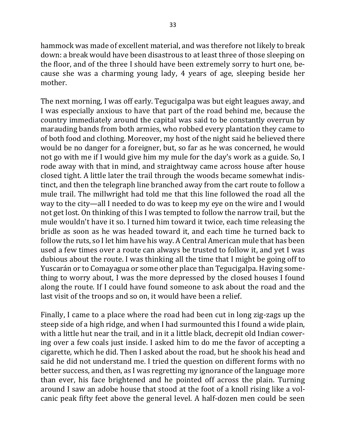hammock was made of excellent material, and was therefore not likely to break down: a break would have been disastrous to at least three of those sleeping on the floor, and of the three I should have been extremely sorry to hurt one, because she was a charming young lady, 4 years of age, sleeping beside her mother.

The next morning, I was off early. Tegucigalpa was but eight leagues away, and I was especially anxious to have that part of the road behind me, because the country immediately around the capital was said to be constantly overrun by marauding bands from both armies, who robbed every plantation they came to of both food and clothing. Moreover, my host of the night said he believed there would be no danger for a foreigner, but, so far as he was concerned, he would not go with me if I would give him my mule for the day's work as a guide. So, I rode away with that in mind, and straightway came across house after house closed tight. A little later the trail through the woods became somewhat indistinct, and then the telegraph line branched away from the cart route to follow a mule trail. The millwright had told me that this line followed the road all the way to the city—all I needed to do was to keep my eye on the wire and I would not get lost. On thinking of this I was tempted to follow the narrow trail, but the mule wouldn't have it so. I turned him toward it twice, each time releasing the bridle as soon as he was headed toward it, and each time he turned back to follow the ruts, so I let him have his way. A Central American mule that has been used a few times over a route can always be trusted to follow it, and yet I was dubious about the route. I was thinking all the time that I might be going off to Yuscarán or to Comayagua or some other place than Tegucigalpa. Having something to worry about, I was the more depressed by the closed houses I found along the route. If I could have found someone to ask about the road and the last visit of the troops and so on, it would have been a relief.

Finally, I came to a place where the road had been cut in long zig-zags up the steep side of a high ridge, and when I had surmounted this I found a wide plain, with a little hut near the trail, and in it a little black, decrepit old Indian cowering over a few coals just inside. I asked him to do me the favor of accepting a cigarette, which he did. Then I asked about the road, but he shook his head and said he did not understand me. I tried the question on different forms with no better success, and then, as I was regretting my ignorance of the language more than ever, his face brightened and he pointed off across the plain. Turning around I saw an adobe house that stood at the foot of a knoll rising like a volcanic peak fifty feet above the general level. A half-dozen men could be seen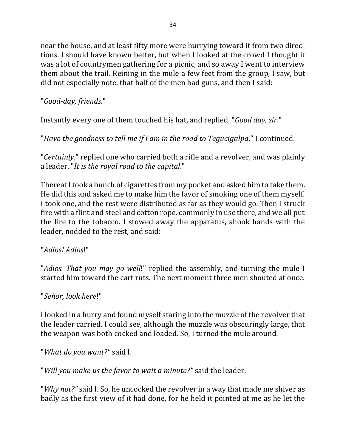near the house, and at least fifty more were hurrying toward it from two directions. I should have known better, but when I looked at the crowd I thought it was a lot of countrymen gathering for a picnic, and so away I went to interview them about the trail. Reining in the mule a few feet from the group, I saw, but did not especially note, that half of the men had guns, and then I said:

"*Good-day, friends*."

Instantly every one of them touched his hat, and replied, "*Good day, sir*."

"*Have the goodness to tell me if I am in the road to Tegucigalpa*," I continued.

"*Certainly*," replied one who carried both a rifle and a revolver, and was plainly a leader. "*It is the royal road to the capital*."

Thereat I took a bunch of cigarettes from my pocket and asked him to take them. He did this and asked me to make him the favor of smoking one of them myself. I took one, and the rest were distributed as far as they would go. Then I struck fire with a flint and steel and cotton rope, commonly in use there, and we all put the fire to the tobacco. I stowed away the apparatus, shook hands with the leader, nodded to the rest, and said:

## "*Adios! Adios*!"

"*Adios. That you may go well*!" replied the assembly, and turning the mule I started him toward the cart ruts. The next moment three men shouted at once.

"*Señor, look here*!"

I looked in a hurry and found myself staring into the muzzle of the revolver that the leader carried. I could see, although the muzzle was obscuringly large, that the weapon was both cocked and loaded. So, I turned the mule around.

"What do you want?" said I.

"Will you make us the favor to wait a minute?" said the leader.

"*Why not?"* said I. So, he uncocked the revolver in a way that made me shiver as badly as the first view of it had done, for he held it pointed at me as he let the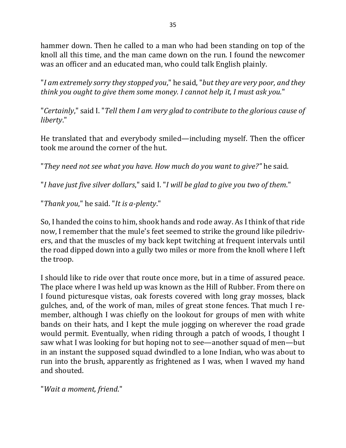hammer down. Then he called to a man who had been standing on top of the knoll all this time, and the man came down on the run. I found the newcomer was an officer and an educated man, who could talk English plainly.

"I am extremely sorry they stopped you," he said, "but they are very poor, and they *think* you ought to give them some money. I cannot help it, I must ask you."

"Certainly," said I. "Tell them I am very glad to contribute to the glorious cause of *liberty*."

He translated that and everybody smiled—including myself. Then the officer took me around the corner of the hut.

"They need not see what you have. How much do you want to give?" he said.

"*I* have just five silver dollars," said I. "*I* will be glad to give you two of them."

"Thank you," he said. "It is a-plenty."

So, I handed the coins to him, shook hands and rode away. As I think of that ride now, I remember that the mule's feet seemed to strike the ground like piledrivers, and that the muscles of my back kept twitching at frequent intervals until the road dipped down into a gully two miles or more from the knoll where I left the troop.

I should like to ride over that route once more, but in a time of assured peace. The place where I was held up was known as the Hill of Rubber. From there on I found picturesque vistas, oak forests covered with long gray mosses, black gulches, and, of the work of man, miles of great stone fences. That much I remember, although I was chiefly on the lookout for groups of men with white bands on their hats, and I kept the mule jogging on wherever the road grade would permit. Eventually, when riding through a patch of woods, I thought I saw what I was looking for but hoping not to see—another squad of men—but in an instant the supposed squad dwindled to a lone Indian, who was about to run into the brush, apparently as frightened as I was, when I waved my hand and shouted.

"*Wait a moment, friend*."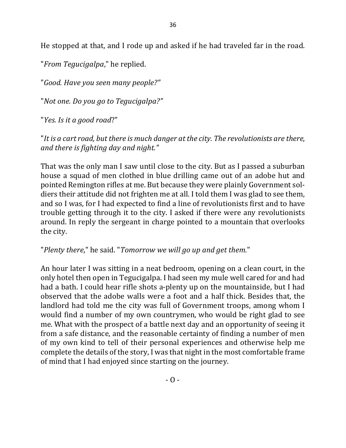He stopped at that, and I rode up and asked if he had traveled far in the road.

"*From Tegucigalpa*," he replied.

"*Good. Have you seen many people?"*

"*Not one. Do you go to Tegucigalpa?"*

"*Yes. Is it a good road*?"

"It is a cart road, but there is much danger at the city. The revolutionists are there, *and there is fighting day and night."* 

That was the only man I saw until close to the city. But as I passed a suburban house a squad of men clothed in blue drilling came out of an adobe hut and pointed Remington rifles at me. But because they were plainly Government soldiers their attitude did not frighten me at all. I told them I was glad to see them, and so I was, for I had expected to find a line of revolutionists first and to have trouble getting through it to the city. I asked if there were any revolutionists around. In reply the sergeant in charge pointed to a mountain that overlooks the city.

"Plenty there," he said. "Tomorrow we will go up and get them."

An hour later I was sitting in a neat bedroom, opening on a clean court, in the only hotel then open in Tegucigalpa. I had seen my mule well cared for and had had a bath. I could hear rifle shots a-plenty up on the mountainside, but I had observed that the adobe walls were a foot and a half thick. Besides that, the landlord had told me the city was full of Government troops, among whom I would find a number of my own countrymen, who would be right glad to see me. What with the prospect of a battle next day and an opportunity of seeing it from a safe distance, and the reasonable certainty of finding a number of men of my own kind to tell of their personal experiences and otherwise help me complete the details of the story, I was that night in the most comfortable frame of mind that I had enjoyed since starting on the journey.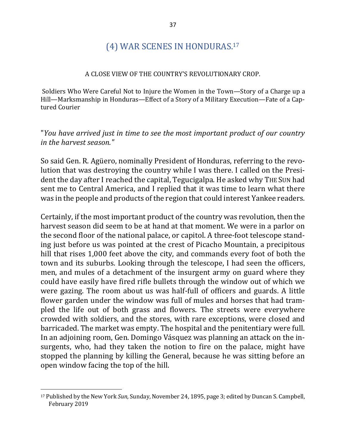# (4) WAR SCENES IN HONDURAS.<sup>17</sup>

#### A CLOSE VIEW OF THE COUNTRY'S REVOLUTIONARY CROP.

Soldiers Who Were Careful Not to Injure the Women in the Town—Story of a Charge up a Hill—Marksmanship in Honduras—Effect of a Story of a Military Execution—Fate of a Captured Courier

## "You have arrived just in time to see the most important product of our country *in the harvest season."*

So said Gen. R. Agüero, nominally President of Honduras, referring to the revolution that was destroying the country while I was there. I called on the President the day after I reached the capital, Tegucigalpa. He asked why THE SUN had sent me to Central America, and I replied that it was time to learn what there was in the people and products of the region that could interest Yankee readers.

Certainly, if the most important product of the country was revolution, then the harvest season did seem to be at hand at that moment. We were in a parlor on the second floor of the national palace, or capitol. A three-foot telescope standing just before us was pointed at the crest of Picacho Mountain, a precipitous hill that rises 1,000 feet above the city, and commands every foot of both the town and its suburbs. Looking through the telescope, I had seen the officers, men, and mules of a detachment of the insurgent army on guard where they could have easily have fired rifle bullets through the window out of which we were gazing. The room about us was half-full of officers and guards. A little flower garden under the window was full of mules and horses that had trampled the life out of both grass and flowers. The streets were everywhere crowded with soldiers, and the stores, with rare exceptions, were closed and barricaded. The market was empty. The hospital and the penitentiary were full. In an adjoining room, Gen. Domingo Vásquez was planning an attack on the insurgents, who, had they taken the notion to fire on the palace, might have stopped the planning by killing the General, because he was sitting before an open window facing the top of the hill.

<sup>&</sup>lt;sup>17</sup> Published by the New York Sun, Sunday, November 24, 1895, page 3; edited by Duncan S. Campbell, February 2019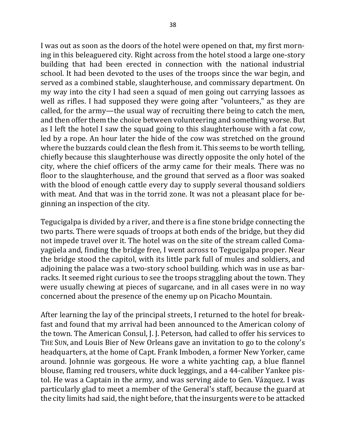I was out as soon as the doors of the hotel were opened on that, my first morning in this beleaguered city. Right across from the hotel stood a large one-story building that had been erected in connection with the national industrial school. It had been devoted to the uses of the troops since the war begin, and served as a combined stable, slaughterhouse, and commissary department. On my way into the city I had seen a squad of men going out carrying lassoes as well as rifles. I had supposed they were going after "volunteers," as they are called, for the army—the usual way of recruiting there being to catch the men, and then offer them the choice between volunteering and something worse. But as I left the hotel I saw the squad going to this slaughterhouse with a fat cow, led by a rope. An hour later the hide of the cow was stretched on the ground where the buzzards could clean the flesh from it. This seems to be worth telling, chiefly because this slaughterhouse was directly opposite the only hotel of the city, where the chief officers of the army came for their meals. There was no floor to the slaughterhouse, and the ground that served as a floor was soaked with the blood of enough cattle every day to supply several thousand soldiers with meat. And that was in the torrid zone. It was not a pleasant place for beginning an inspection of the city.

Tegucigalpa is divided by a river, and there is a fine stone bridge connecting the two parts. There were squads of troops at both ends of the bridge, but they did not impede travel over it. The hotel was on the site of the stream called Comayagüela and, finding the bridge free, I went across to Tegucigalpa proper. Near the bridge stood the capitol, with its little park full of mules and soldiers, and adjoining the palace was a two-story school building. which was in use as barracks. It seemed right curious to see the troops straggling about the town. They were usually chewing at pieces of sugarcane, and in all cases were in no way concerned about the presence of the enemy up on Picacho Mountain.

After learning the lay of the principal streets, I returned to the hotel for breakfast and found that my arrival had been announced to the American colony of the town. The American Consul, J. J. Peterson, had called to offer his services to THE SUN, and Louis Bier of New Orleans gave an invitation to go to the colony's headquarters, at the home of Capt. Frank Imboden, a former New Yorker, came around. Johnnie was gorgeous. He wore a white yachting cap, a blue flannel blouse, flaming red trousers, white duck leggings, and a 44-caliber Yankee pistol. He was a Captain in the army, and was serving aide to Gen. Vázquez. I was particularly glad to meet a member of the General's staff, because the guard at the city limits had said, the night before, that the insurgents were to be attacked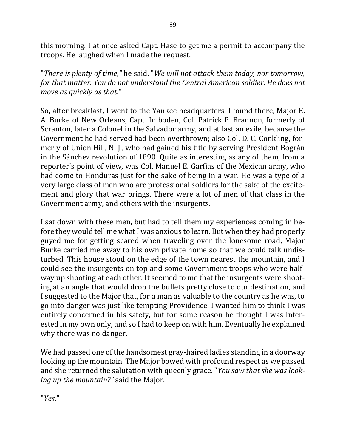this morning. I at once asked Capt. Hase to get me a permit to accompany the troops. He laughed when I made the request.

"There is plenty of time," he said. "We will not attack them today, nor tomorrow, for that matter. You do not understand the Central American soldier. He does not *move as quickly as that."* 

So, after breakfast, I went to the Yankee headquarters. I found there, Major E. A. Burke of New Orleans; Capt. Imboden, Col. Patrick P. Brannon, formerly of Scranton, later a Colonel in the Salvador army, and at last an exile, because the Government he had served had been overthrown; also Col. D. C. Conkling, formerly of Union Hill, N. J., who had gained his title by serving President Bográn in the Sánchez revolution of 1890. Quite as interesting as any of them, from a reporter's point of view, was Col. Manuel E. Garfias of the Mexican army, who had come to Honduras just for the sake of being in a war. He was a type of a very large class of men who are professional soldiers for the sake of the excitement and glory that war brings. There were a lot of men of that class in the Government army, and others with the insurgents.

I sat down with these men, but had to tell them my experiences coming in before they would tell me what I was anxious to learn. But when they had properly guyed me for getting scared when traveling over the lonesome road, Major Burke carried me away to his own private home so that we could talk undisturbed. This house stood on the edge of the town nearest the mountain, and I could see the insurgents on top and some Government troops who were halfway up shooting at each other. It seemed to me that the insurgents were shooting at an angle that would drop the bullets pretty close to our destination, and I suggested to the Major that, for a man as valuable to the country as he was, to go into danger was just like tempting Providence. I wanted him to think I was entirely concerned in his safety, but for some reason he thought I was interested in my own only, and so I had to keep on with him. Eventually he explained why there was no danger.

We had passed one of the handsomest gray-haired ladies standing in a doorway looking up the mountain. The Major bowed with profound respect as we passed and she returned the salutation with queenly grace. "*You saw that she was looking up the mountain?"* said the Major.

"*Yes*."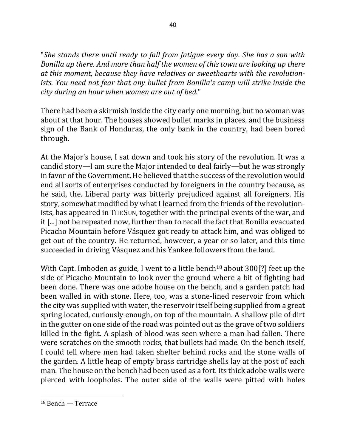"She stands there until ready to fall from fatigue every day. She has a son with *Bonilla up there. And more than half the women of this town are looking up there* at this moment, because they have relatives or sweethearts with the revolution*ists. You need not fear that any bullet from Bonilla's camp will strike inside the city during an hour when women are out of bed*."

There had been a skirmish inside the city early one morning, but no woman was about at that hour. The houses showed bullet marks in places, and the business sign of the Bank of Honduras, the only bank in the country, had been bored through.

At the Major's house, I sat down and took his story of the revolution. It was a candid story—I am sure the Major intended to deal fairly—but he was strongly in favor of the Government. He believed that the success of the revolution would end all sorts of enterprises conducted by foreigners in the country because, as he said, the. Liberal party was bitterly prejudiced against all foreigners. His story, somewhat modified by what I learned from the friends of the revolutionists, has appeared in THE SUN, together with the principal events of the war, and it [...] not be repeated now, further than to recall the fact that Bonilla evacuated Picacho Mountain before Vásquez got ready to attack him, and was obliged to get out of the country. He returned, however, a year or so later, and this time succeeded in driving Vásquez and his Yankee followers from the land.

With Capt. Imboden as guide, I went to a little bench<sup>18</sup> about  $300$ [?] feet up the side of Picacho Mountain to look over the ground where a bit of fighting had been done. There was one adobe house on the bench, and a garden patch had been walled in with stone. Here, too, was a stone-lined reservoir from which the city was supplied with water, the reservoir itself being supplied from a great spring located, curiously enough, on top of the mountain. A shallow pile of dirt in the gutter on one side of the road was pointed out as the grave of two soldiers killed in the fight. A splash of blood was seen where a man had fallen. There were scratches on the smooth rocks, that bullets had made. On the bench itself, I could tell where men had taken shelter behind rocks and the stone walls of the garden. A little heap of empty brass cartridge shells lay at the post of each man. The house on the bench had been used as a fort. Its thick adobe walls were pierced with loopholes. The outer side of the walls were pitted with holes

 $18$  Bench — Terrace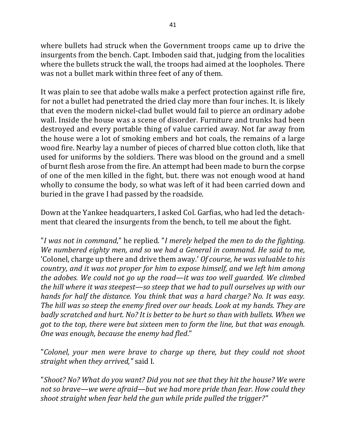where bullets had struck when the Government troops came up to drive the insurgents from the bench. Capt. Imboden said that, judging from the localities where the bullets struck the wall, the troops had aimed at the loopholes. There was not a bullet mark within three feet of any of them.

It was plain to see that adobe walls make a perfect protection against rifle fire, for not a bullet had penetrated the dried clay more than four inches. It. is likely that even the modern nickel-clad bullet would fail to pierce an ordinary adobe wall. Inside the house was a scene of disorder. Furniture and trunks had been destroyed and every portable thing of value carried away. Not far away from the house were a lot of smoking embers and hot coals, the remains of a large wood fire. Nearby lay a number of pieces of charred blue cotton cloth, like that used for uniforms by the soldiers. There was blood on the ground and a smell of burnt flesh arose from the fire. An attempt had been made to burn the corpse of one of the men killed in the fight, but. there was not enough wood at hand wholly to consume the body, so what was left of it had been carried down and buried in the grave I had passed by the roadside.

Down at the Yankee headquarters, I asked Col. Garfias, who had led the detachment that cleared the insurgents from the bench, to tell me about the fight.

"I was not in command," he replied. "I merely helped the men to do the fighting. *We numbered eighty men, and so we had a General in command. He said to me,* 'Colonel, charge up there and drive them away.' *Of course, he was valuable to his country, and it was not proper for him to expose himself, and we left him among the adobes.* We could not go up the road—it was too well guarded. We climbed *the hill where it was steepest—so steep that we had to pull ourselves up with our hands for half the distance. You think that was a hard charge? No. It was easy.* The hill was so steep the enemy fired over our heads. Look at my hands. They are *badly scratched and hurt.* No? It is better to be hurt so than with bullets. When we *got to the top, there were but sixteen men to form the line, but that was enough. One* was enough, because the enemy had fled."

"Colonel, your men were brave to charge up there, but they could not shoot *straight when they arrived,"* said I.

"Shoot? No? What do you want? Did you not see that they hit the house? We were not so brave—we were afraid—but we had more pride than fear. How could they *shoot straight when fear held the gun while pride pulled the trigger?"*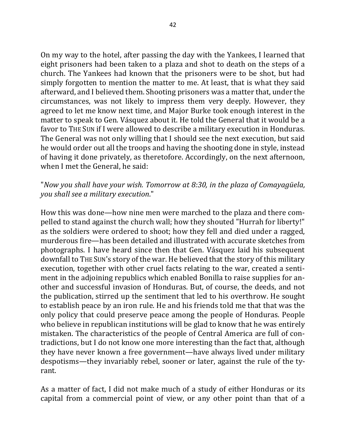On my way to the hotel, after passing the day with the Yankees, I learned that eight prisoners had been taken to a plaza and shot to death on the steps of a church. The Yankees had known that the prisoners were to be shot, but had simply forgotten to mention the matter to me. At least, that is what they said afterward, and I believed them. Shooting prisoners was a matter that, under the circumstances, was not likely to impress them very deeply. However, they agreed to let me know next time, and Major Burke took enough interest in the matter to speak to Gen. Vásquez about it. He told the General that it would be a favor to THE SUN if I were allowed to describe a military execution in Honduras. The General was not only willing that I should see the next execution, but said he would order out all the troops and having the shooting done in style, instead of having it done privately, as theretofore. Accordingly, on the next afternoon, when I met the General, he said:

## "*Now you shall have your wish. Tomorrow at 8:30, in the plaza of Comayagüela, you shall see a military execution*."

How this was done—how nine men were marched to the plaza and there compelled to stand against the church wall; how they shouted "Hurrah for liberty!" as the soldiers were ordered to shoot; how they fell and died under a ragged, murderous fire—has been detailed and illustrated with accurate sketches from photographs. I have heard since then that Gen. Vásquez laid his subsequent downfall to THE SUN's story of the war. He believed that the story of this military execution, together with other cruel facts relating to the war, created a sentiment in the adjoining republics which enabled Bonilla to raise supplies for another and successful invasion of Honduras. But, of course, the deeds, and not the publication, stirred up the sentiment that led to his overthrow. He sought to establish peace by an iron rule. He and his friends told me that that was the only policy that could preserve peace among the people of Honduras. People who believe in republican institutions will be glad to know that he was entirely mistaken. The characteristics of the people of Central America are full of contradictions, but I do not know one more interesting than the fact that, although they have never known a free government—have always lived under military despotisms—they invariably rebel, sooner or later, against the rule of the tyrant.

As a matter of fact, I did not make much of a study of either Honduras or its capital from a commercial point of view, or any other point than that of a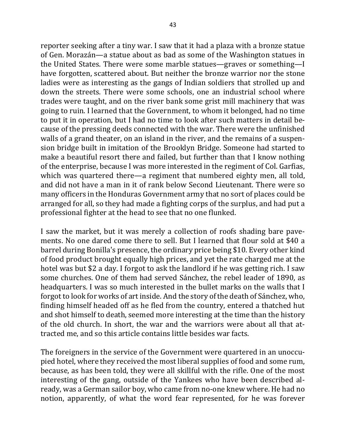reporter seeking after a tiny war. I saw that it had a plaza with a bronze statue of Gen. Morazán—a statue about as bad as some of the Washington statues in the United States. There were some marble statues—graves or something—I have forgotten, scattered about. But neither the bronze warrior nor the stone ladies were as interesting as the gangs of Indian soldiers that strolled up and down the streets. There were some schools, one an industrial school where trades were taught, and on the river bank some grist mill machinery that was going to ruin. I learned that the Government, to whom it belonged, had no time to put it in operation, but I had no time to look after such matters in detail because of the pressing deeds connected with the war. There were the unfinished walls of a grand theater, on an island in the river, and the remains of a suspension bridge built in imitation of the Brooklyn Bridge. Someone had started to make a beautiful resort there and failed, but further than that I know nothing of the enterprise, because I was more interested in the regiment of Col. Garfias, which was quartered there—a regiment that numbered eighty men, all told, and did not have a man in it of rank below Second Lieutenant. There were so many officers in the Honduras Government army that no sort of places could be arranged for all, so they had made a fighting corps of the surplus, and had put a professional fighter at the head to see that no one flunked.

I saw the market, but it was merely a collection of roofs shading bare pavements. No one dared come there to sell. But I learned that flour sold at \$40 a barrel during Bonilla's presence, the ordinary price being \$10. Every other kind of food product brought equally high prices, and yet the rate charged me at the hotel was but \$2 a day. I forgot to ask the landlord if he was getting rich. I saw some churches. One of them had served Sánchez, the rebel leader of 1890, as headquarters. I was so much interested in the bullet marks on the walls that I forgot to look for works of art inside. And the story of the death of Sánchez, who, finding himself headed off as he fled from the country, entered a thatched hut and shot himself to death, seemed more interesting at the time than the history of the old church. In short, the war and the warriors were about all that attracted me, and so this article contains little besides war facts.

The foreigners in the service of the Government were quartered in an unoccupied hotel, where they received the most liberal supplies of food and some rum, because, as has been told, they were all skillful with the rifle. One of the most interesting of the gang, outside of the Yankees who have been described already, was a German sailor boy, who came from no-one knew where. He had no notion, apparently, of what the word fear represented, for he was forever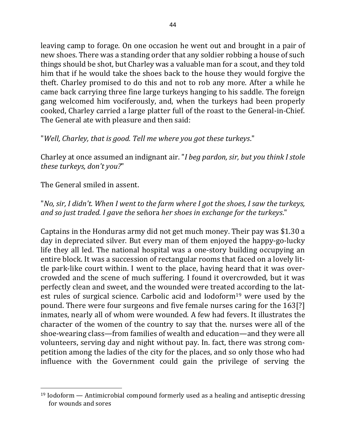leaving camp to forage. On one occasion he went out and brought in a pair of new shoes. There was a standing order that any soldier robbing a house of such things should be shot, but Charley was a valuable man for a scout, and they told him that if he would take the shoes back to the house they would forgive the theft. Charley promised to do this and not to rob any more. After a while he came back carrying three fine large turkeys hanging to his saddle. The foreign gang welcomed him vociferously, and, when the turkeys had been properly cooked, Charley carried a large platter full of the roast to the General-in-Chief. The General ate with pleasure and then said:

"*Well, Charley, that is good. Tell me where you got these turkeys.*"

Charley at once assumed an indignant air. "*I beg pardon, sir, but you think I stole these turkeys, don't you?*"

The General smiled in assent.

 $\overline{a}$ 

"*No, sir, I didn't. When I went to the farm where I got the shoes, I saw the turkeys, and so just traded. I gave the señora her shoes in exchange for the turkeys.*"

Captains in the Honduras army did not get much money. Their pay was \$1.30 a day in depreciated silver. But every man of them enjoyed the happy-go-lucky life they all led. The national hospital was a one-story building occupying an entire block. It was a succession of rectangular rooms that faced on a lovely little park-like court within. I went to the place, having heard that it was overcrowded and the scene of much suffering. I found it overcrowded, but it was perfectly clean and sweet, and the wounded were treated according to the latest rules of surgical science. Carbolic acid and  $Iodoform<sup>19</sup>$  were used by the pound. There were four surgeons and five female nurses caring for the 163[?] inmates, nearly all of whom were wounded. A few had fevers. It illustrates the character of the women of the country to say that the. nurses were all of the shoe-wearing class—from families of wealth and education—and they were all volunteers, serving day and night without pay. In. fact, there was strong competition among the ladies of the city for the places, and so only those who had influence with the Government could gain the privilege of serving the

 $19$  Iodoform — Antimicrobial compound formerly used as a healing and antiseptic dressing for wounds and sores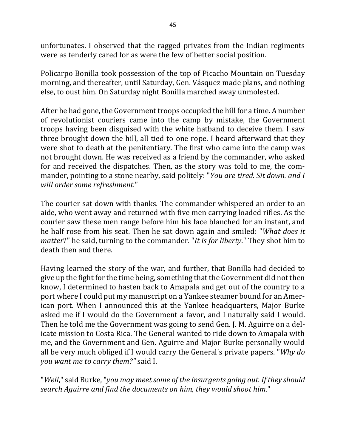unfortunates. I observed that the ragged privates from the Indian regiments were as tenderly cared for as were the few of better social position.

Policarpo Bonilla took possession of the top of Picacho Mountain on Tuesday morning, and thereafter, until Saturday, Gen. Vásquez made plans, and nothing else, to oust him. On Saturday night Bonilla marched away unmolested.

After he had gone, the Government troops occupied the hill for a time. A number of revolutionist couriers came into the camp by mistake, the Government troops having been disguised with the white hatband to deceive them. I saw three brought down the hill, all tied to one rope. I heard afterward that they were shot to death at the penitentiary. The first who came into the camp was not brought down. He was received as a friend by the commander, who asked for and received the dispatches. Then, as the story was told to me, the commander, pointing to a stone nearby, said politely: "*You are tired. Sit down. and I will order some refreshment*."

The courier sat down with thanks. The commander whispered an order to an aide, who went away and returned with five men carrying loaded rifles. As the courier saw these men range before him his face blanched for an instant, and he half rose from his seat. Then he sat down again and smiled: "*What does it matter*?" he said, turning to the commander. "It is for liberty." They shot him to death then and there.

Having learned the story of the war, and further, that Bonilla had decided to give up the fight for the time being, something that the Government did not then know, I determined to hasten back to Amapala and get out of the country to a port where I could put my manuscript on a Yankee steamer bound for an American port. When I announced this at the Yankee headquarters, Major Burke asked me if I would do the Government a favor, and I naturally said I would. Then he told me the Government was going to send Gen. J. M. Aguirre on a delicate mission to Costa Rica. The General wanted to ride down to Amapala with me, and the Government and Gen. Aguirre and Major Burke personally would all be very much obliged if I would carry the General's private papers. "*Why do you* want me to carry them?" said I.

"*Well*," said Burke, "*you may meet some of the insurgents going out. If they should search Aguirre and find the documents on him, they would shoot him.*"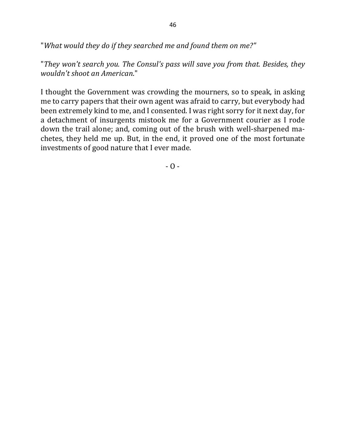"What would they do if they searched me and found them on me?"

"They won't search you. The Consul's pass will save you from that. Besides, they *wouldn't shoot an American*."

I thought the Government was crowding the mourners, so to speak, in asking me to carry papers that their own agent was afraid to carry, but everybody had been extremely kind to me, and I consented. I was right sorry for it next day, for a detachment of insurgents mistook me for a Government courier as I rode down the trail alone; and, coming out of the brush with well-sharpened machetes, they held me up. But, in the end, it proved one of the most fortunate investments of good nature that I ever made.

 $- 0 -$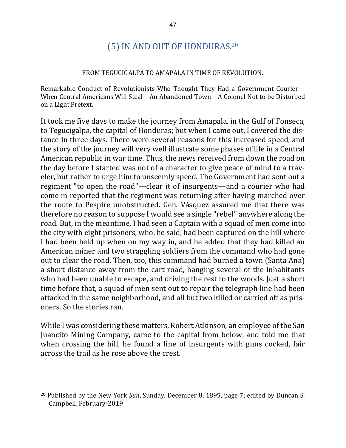# (5) IN AND OUT OF HONDURAS.<sup>20</sup>

#### FROM TEGUCIGALPA TO AMAPALA IN TIME OF REVOLUTION.

Remarkable Conduct of Revolutionists Who Thought They Had a Government Courier— When Central Americans Will Steal—An Abandoned Town—A Colonel Not to be Disturbed on a Light Pretext.

It took me five days to make the journey from Amapala, in the Gulf of Fonseca, to Tegucigalpa, the capital of Honduras; but when I came out, I covered the distance in three days. There were several reasons for this increased speed, and the story of the journey will very well illustrate some phases of life in a Central American republic in war time. Thus, the news received from down the road on the day before I started was not of a character to give peace of mind to a traveler, but rather to urge him to unseemly speed. The Government had sent out a regiment "to open the road"—clear it of insurgents—and a courier who had come in reported that the regiment was returning after having marched over the route to Pespire unobstructed. Gen. Vásquez assured me that there was therefore no reason to suppose I would see a single "rebel" anywhere along the road. But, in the meantime, I had seen a Captain with a squad of men come into the city with eight prisoners, who, he said, had been captured on the hill where I had been held up when on my way in, and he added that they had killed an American miner and two straggling soldiers from the command who had gone out to clear the road. Then, too, this command had burned a town (Santa Ana) a short distance away from the cart road, hanging several of the inhabitants who had been unable to escape, and driving the rest to the woods. Just a short time before that, a squad of men sent out to repair the telegraph line had been attacked in the same neighborhood, and all but two killed or carried off as prisoners. So the stories ran.

While I was considering these matters, Robert Atkinson, an employee of the San Juancito Mining Company, came to the capital from below, and told me that when crossing the hill, he found a line of insurgents with guns cocked, fair across the trail as he rose above the crest.

<sup>&</sup>lt;sup>20</sup> Published by the New York *Sun*, Sunday, December 8, 1895, page 7; edited by Duncan S. Campbell, February-2019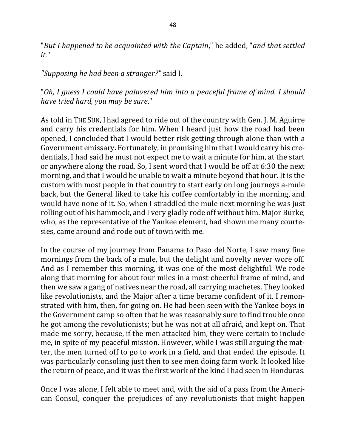"But I happened to be acquainted with the Captain," he added, "and that settled *it.*"

*"Supposing he had been a stranger?"* said I.

"Oh, I guess I could have palavered him into a peaceful frame of mind. I should have tried hard, you may be sure."

As told in THE SUN, I had agreed to ride out of the country with Gen. J. M. Aguirre and carry his credentials for him. When I heard just how the road had been opened, I concluded that I would better risk getting through alone than with a Government emissary. Fortunately, in promising him that I would carry his credentials, I had said he must not expect me to wait a minute for him, at the start or anywhere along the road. So, I sent word that I would be off at 6:30 the next morning, and that I would be unable to wait a minute beyond that hour. It is the custom with most people in that country to start early on long journeys a-mule back, but the General liked to take his coffee comfortably in the morning, and would have none of it. So, when I straddled the mule next morning he was just rolling out of his hammock, and I very gladly rode off without him. Major Burke, who, as the representative of the Yankee element, had shown me many courtesies, came around and rode out of town with me.

In the course of my journey from Panama to Paso del Norte, I saw many fine mornings from the back of a mule, but the delight and novelty never wore off. And as I remember this morning, it was one of the most delightful. We rode along that morning for about four miles in a most cheerful frame of mind, and then we saw a gang of natives near the road, all carrying machetes. They looked like revolutionists, and the Major after a time became confident of it. I remonstrated with him, then, for going on. He had been seen with the Yankee boys in the Government camp so often that he was reasonably sure to find trouble once he got among the revolutionists; but he was not at all afraid, and kept on. That made me sorry, because, if the men attacked him, they were certain to include me, in spite of my peaceful mission. However, while I was still arguing the matter, the men turned off to go to work in a field, and that ended the episode. It was particularly consoling just then to see men doing farm work. It looked like the return of peace, and it was the first work of the kind I had seen in Honduras.

Once I was alone, I felt able to meet and, with the aid of a pass from the American Consul, conquer the prejudices of any revolutionists that might happen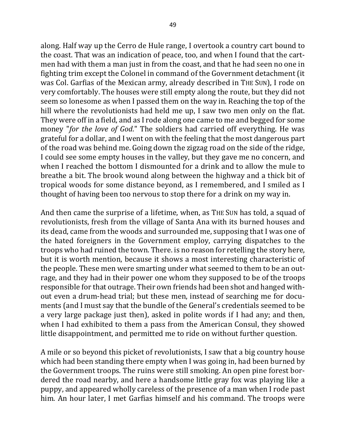along. Half way up the Cerro de Hule range, I overtook a country cart bound to the coast. That was an indication of peace, too, and when I found that the cartmen had with them a man just in from the coast, and that he had seen no one in fighting trim except the Colonel in command of the Government detachment (it was Col. Garfias of the Mexican army, already described in THE SUN), I rode on very comfortably. The houses were still empty along the route, but they did not seem so lonesome as when I passed them on the way in. Reaching the top of the hill where the revolutionists had held me up, I saw two men only on the flat. They were off in a field, and as I rode along one came to me and begged for some money "*for the love of God*." The soldiers had carried off everything. He was grateful for a dollar, and I went on with the feeling that the most dangerous part of the road was behind me. Going down the zigzag road on the side of the ridge, I could see some empty houses in the valley, but they gave me no concern, and when I reached the bottom I dismounted for a drink and to allow the mule to breathe a bit. The brook wound along between the highway and a thick bit of tropical woods for some distance beyond, as I remembered, and I smiled as I thought of having been too nervous to stop there for a drink on my way in.

And then came the surprise of a lifetime, when, as THE SUN has told, a squad of revolutionists, fresh from the village of Santa Ana with its burned houses and its dead, came from the woods and surrounded me, supposing that I was one of the hated foreigners in the Government employ, carrying dispatches to the troops who had ruined the town. There, is no reason for retelling the story here, but it is worth mention, because it shows a most interesting characteristic of the people. These men were smarting under what seemed to them to be an outrage, and they had in their power one whom they supposed to be of the troops responsible for that outrage. Their own friends had been shot and hanged without even a drum-head trial; but these men, instead of searching me for documents (and I must say that the bundle of the General's credentials seemed to be a very large package just then), asked in polite words if I had any; and then, when I had exhibited to them a pass from the American Consul, they showed little disappointment, and permitted me to ride on without further question.

A mile or so beyond this picket of revolutionists, I saw that a big country house which had been standing there empty when I was going in, had been burned by the Government troops. The ruins were still smoking. An open pine forest bordered the road nearby, and here a handsome little gray fox was playing like a puppy, and appeared wholly careless of the presence of a man when I rode past him. An hour later, I met Garfias himself and his command. The troops were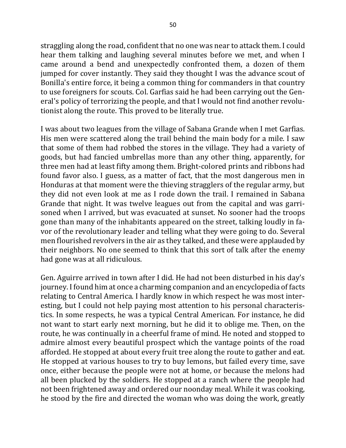straggling along the road, confident that no one was near to attack them. I could hear them talking and laughing several minutes before we met, and when I came around a bend and unexpectedly confronted them, a dozen of them jumped for cover instantly. They said they thought I was the advance scout of Bonilla's entire force, it being a common thing for commanders in that country to use foreigners for scouts. Col. Garfias said he had been carrying out the General's policy of terrorizing the people, and that I would not find another revolutionist along the route. This proved to be literally true.

I was about two leagues from the village of Sabana Grande when I met Garfias. His men were scattered along the trail behind the main body for a mile. I saw that some of them had robbed the stores in the village. They had a variety of goods, but had fancied umbrellas more than any other thing, apparently, for three men had at least fifty among them. Bright-colored prints and ribbons had found favor also. I guess, as a matter of fact, that the most dangerous men in Honduras at that moment were the thieving stragglers of the regular army, but they did not even look at me as I rode down the trail. I remained in Sabana Grande that night. It was twelve leagues out from the capital and was garrisoned when I arrived, but was evacuated at sunset. No sooner had the troops gone than many of the inhabitants appeared on the street, talking loudly in favor of the revolutionary leader and telling what they were going to do. Several men flourished revolvers in the air as they talked, and these were applauded by their neighbors. No one seemed to think that this sort of talk after the enemy had gone was at all ridiculous.

Gen. Aguirre arrived in town after I did. He had not been disturbed in his day's journey. I found him at once a charming companion and an encyclopedia of facts relating to Central America. I hardly know in which respect he was most interesting, but I could not help paying most attention to his personal characteristics. In some respects, he was a typical Central American. For instance, he did not want to start early next morning, but he did it to oblige me. Then, on the route, he was continually in a cheerful frame of mind. He noted and stopped to admire almost every beautiful prospect which the vantage points of the road afforded. He stopped at about every fruit tree along the route to gather and eat. He stopped at various houses to try to buy lemons, but failed every time, save once, either because the people were not at home, or because the melons had all been plucked by the soldiers. He stopped at a ranch where the people had not been frightened away and ordered our noonday meal. While it was cooking, he stood by the fire and directed the woman who was doing the work, greatly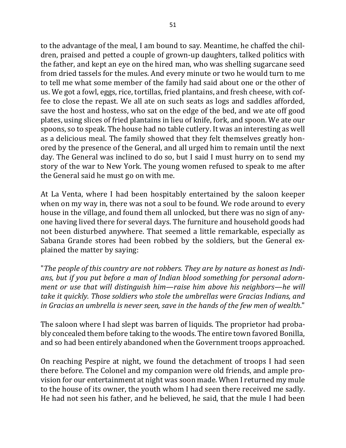to the advantage of the meal, I am bound to say. Meantime, he chaffed the children, praised and petted a couple of grown-up daughters, talked politics with the father, and kept an eye on the hired man, who was shelling sugarcane seed from dried tassels for the mules. And every minute or two he would turn to me to tell me what some member of the family had said about one or the other of us. We got a fowl, eggs, rice, tortillas, fried plantains, and fresh cheese, with coffee to close the repast. We all ate on such seats as logs and saddles afforded, save the host and hostess, who sat on the edge of the bed, and we ate off good plates, using slices of fried plantains in lieu of knife, fork, and spoon. We ate our spoons, so to speak. The house had no table cutlery. It was an interesting as well as a delicious meal. The family showed that they felt themselves greatly honored by the presence of the General, and all urged him to remain until the next day. The General was inclined to do so, but I said I must hurry on to send my story of the war to New York. The young women refused to speak to me after the General said he must go on with me.

At La Venta, where I had been hospitably entertained by the saloon keeper when on my way in, there was not a soul to be found. We rode around to every house in the village, and found them all unlocked, but there was no sign of anyone having lived there for several days. The furniture and household goods had not been disturbed anywhere. That seemed a little remarkable, especially as Sabana Grande stores had been robbed by the soldiers, but the General explained the matter by saying:

"The people of this country are not robbers. They are by nature as honest as Indians, but if you put before a man of Indian blood something for personal adorn*ment or use that will distinguish him—raise him above his neighbors—he will* take it quickly. Those soldiers who stole the umbrellas were Gracias Indians, and in Gracias an umbrella is never seen, save in the hands of the few men of wealth."

The saloon where I had slept was barren of liquids. The proprietor had probably concealed them before taking to the woods. The entire town favored Bonilla, and so had been entirely abandoned when the Government troops approached.

On reaching Pespire at night, we found the detachment of troops I had seen there before. The Colonel and my companion were old friends, and ample provision for our entertainment at night was soon made. When I returned my mule to the house of its owner, the youth whom I had seen there received me sadly. He had not seen his father, and he believed, he said, that the mule I had been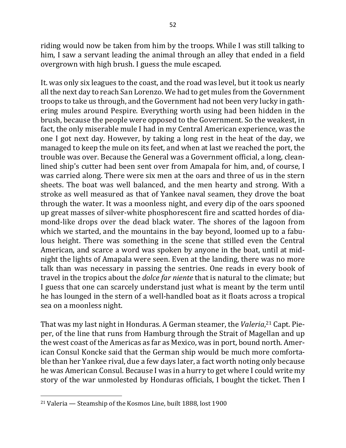riding would now be taken from him by the troops. While I was still talking to him, I saw a servant leading the animal through an alley that ended in a field overgrown with high brush. I guess the mule escaped.

It. was only six leagues to the coast, and the road was level, but it took us nearly all the next day to reach San Lorenzo. We had to get mules from the Government troops to take us through, and the Government had not been very lucky in gathering mules around Pespire. Everything worth using had been hidden in the brush, because the people were opposed to the Government. So the weakest, in fact, the only miserable mule I had in my Central American experience, was the one I got next day. However, by taking a long rest in the heat of the day, we managed to keep the mule on its feet, and when at last we reached the port, the trouble was over. Because the General was a Government official, a long, cleanlined ship's cutter had been sent over from Amapala for him, and, of course, I was carried along. There were six men at the oars and three of us in the stern sheets. The boat was well balanced, and the men hearty and strong. With a stroke as well measured as that of Yankee naval seamen, they drove the boat through the water. It was a moonless night, and every dip of the oars spooned up great masses of silver-white phosphorescent fire and scatted hordes of diamond-like drops over the dead black water. The shores of the lagoon from which we started, and the mountains in the bay beyond, loomed up to a fabulous height. There was something in the scene that stilled even the Central American, and scarce a word was spoken by anyone in the boat, until at midnight the lights of Amapala were seen. Even at the landing, there was no more talk than was necessary in passing the sentries. One reads in every book of travel in the tropics about the *dolce far niente* that is natural to the climate; but I guess that one can scarcely understand just what is meant by the term until he has lounged in the stern of a well-handled boat as it floats across a tropical sea on a moonless night.

That was my last night in Honduras. A German steamer, the Valeria,<sup>21</sup> Capt. Pieper, of the line that runs from Hamburg through the Strait of Magellan and up the west coast of the Americas as far as Mexico, was in port, bound north. American Consul Koncke said that the German ship would be much more comfortable than her Yankee rival, due a few days later, a fact worth noting only because he was American Consul. Because I was in a hurry to get where I could write my story of the war unmolested by Honduras officials, I bought the ticket. Then I

 $21$  Valeria  $-$  Steamship of the Kosmos Line, built 1888, lost 1900